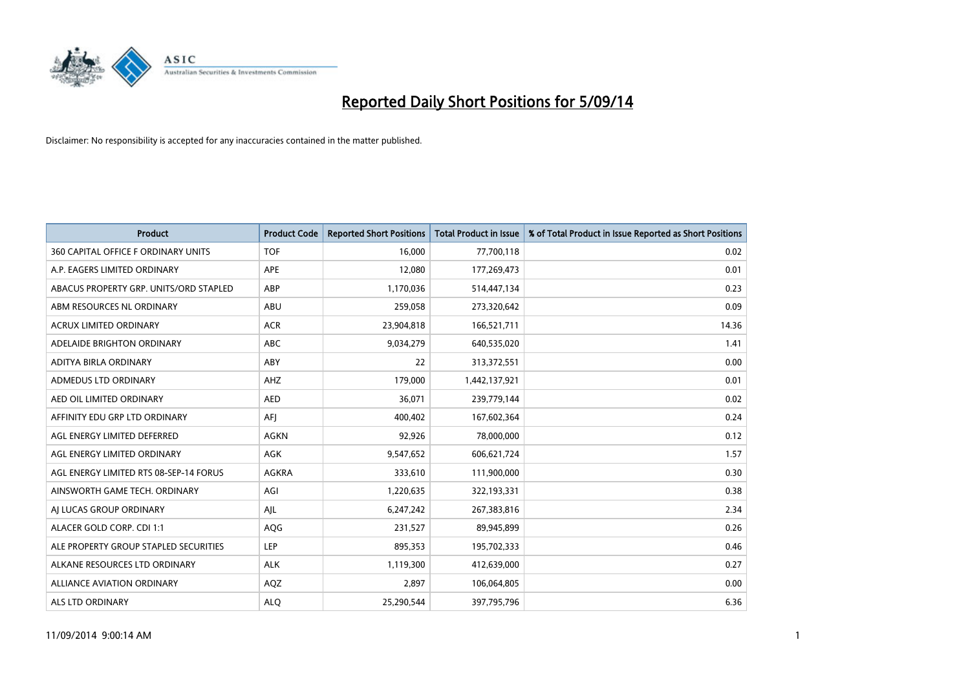

| <b>Product</b>                         | <b>Product Code</b> | <b>Reported Short Positions</b> | <b>Total Product in Issue</b> | % of Total Product in Issue Reported as Short Positions |
|----------------------------------------|---------------------|---------------------------------|-------------------------------|---------------------------------------------------------|
| 360 CAPITAL OFFICE F ORDINARY UNITS    | <b>TOF</b>          | 16,000                          | 77,700,118                    | 0.02                                                    |
| A.P. EAGERS LIMITED ORDINARY           | APE                 | 12,080                          | 177,269,473                   | 0.01                                                    |
| ABACUS PROPERTY GRP. UNITS/ORD STAPLED | ABP                 | 1,170,036                       | 514,447,134                   | 0.23                                                    |
| ABM RESOURCES NL ORDINARY              | ABU                 | 259,058                         | 273,320,642                   | 0.09                                                    |
| <b>ACRUX LIMITED ORDINARY</b>          | <b>ACR</b>          | 23,904,818                      | 166,521,711                   | 14.36                                                   |
| ADELAIDE BRIGHTON ORDINARY             | <b>ABC</b>          | 9,034,279                       | 640,535,020                   | 1.41                                                    |
| ADITYA BIRLA ORDINARY                  | <b>ABY</b>          | 22                              | 313,372,551                   | 0.00                                                    |
| ADMEDUS LTD ORDINARY                   | AHZ                 | 179,000                         | 1,442,137,921                 | 0.01                                                    |
| AED OIL LIMITED ORDINARY               | <b>AED</b>          | 36,071                          | 239,779,144                   | 0.02                                                    |
| AFFINITY EDU GRP LTD ORDINARY          | AFI                 | 400,402                         | 167,602,364                   | 0.24                                                    |
| AGL ENERGY LIMITED DEFERRED            | AGKN                | 92,926                          | 78,000,000                    | 0.12                                                    |
| AGL ENERGY LIMITED ORDINARY            | AGK                 | 9,547,652                       | 606,621,724                   | 1.57                                                    |
| AGL ENERGY LIMITED RTS 08-SEP-14 FORUS | AGKRA               | 333,610                         | 111,900,000                   | 0.30                                                    |
| AINSWORTH GAME TECH. ORDINARY          | AGI                 | 1,220,635                       | 322,193,331                   | 0.38                                                    |
| AI LUCAS GROUP ORDINARY                | AJL                 | 6,247,242                       | 267,383,816                   | 2.34                                                    |
| ALACER GOLD CORP. CDI 1:1              | AQG                 | 231,527                         | 89,945,899                    | 0.26                                                    |
| ALE PROPERTY GROUP STAPLED SECURITIES  | LEP                 | 895,353                         | 195,702,333                   | 0.46                                                    |
| ALKANE RESOURCES LTD ORDINARY          | <b>ALK</b>          | 1,119,300                       | 412,639,000                   | 0.27                                                    |
| ALLIANCE AVIATION ORDINARY             | AQZ                 | 2,897                           | 106,064,805                   | 0.00                                                    |
| ALS LTD ORDINARY                       | <b>ALO</b>          | 25,290,544                      | 397,795,796                   | 6.36                                                    |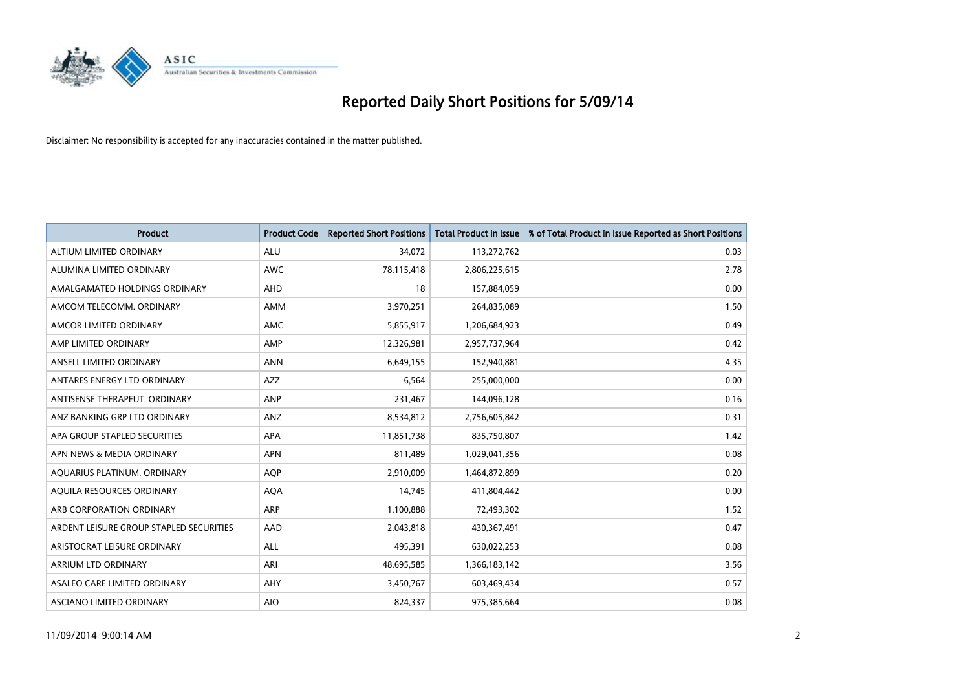

| <b>Product</b>                          | <b>Product Code</b> | <b>Reported Short Positions</b> | <b>Total Product in Issue</b> | % of Total Product in Issue Reported as Short Positions |
|-----------------------------------------|---------------------|---------------------------------|-------------------------------|---------------------------------------------------------|
| ALTIUM LIMITED ORDINARY                 | <b>ALU</b>          | 34,072                          | 113,272,762                   | 0.03                                                    |
| ALUMINA LIMITED ORDINARY                | AWC                 | 78,115,418                      | 2,806,225,615                 | 2.78                                                    |
| AMALGAMATED HOLDINGS ORDINARY           | AHD                 | 18                              | 157,884,059                   | 0.00                                                    |
| AMCOM TELECOMM. ORDINARY                | AMM                 | 3,970,251                       | 264,835,089                   | 1.50                                                    |
| AMCOR LIMITED ORDINARY                  | AMC                 | 5,855,917                       | 1,206,684,923                 | 0.49                                                    |
| AMP LIMITED ORDINARY                    | AMP                 | 12,326,981                      | 2,957,737,964                 | 0.42                                                    |
| ANSELL LIMITED ORDINARY                 | <b>ANN</b>          | 6,649,155                       | 152,940,881                   | 4.35                                                    |
| ANTARES ENERGY LTD ORDINARY             | AZZ                 | 6,564                           | 255,000,000                   | 0.00                                                    |
| ANTISENSE THERAPEUT, ORDINARY           | ANP                 | 231,467                         | 144,096,128                   | 0.16                                                    |
| ANZ BANKING GRP LTD ORDINARY            | ANZ                 | 8,534,812                       | 2,756,605,842                 | 0.31                                                    |
| APA GROUP STAPLED SECURITIES            | APA                 | 11,851,738                      | 835,750,807                   | 1.42                                                    |
| APN NEWS & MEDIA ORDINARY               | <b>APN</b>          | 811,489                         | 1,029,041,356                 | 0.08                                                    |
| AQUARIUS PLATINUM. ORDINARY             | <b>AOP</b>          | 2,910,009                       | 1,464,872,899                 | 0.20                                                    |
| AQUILA RESOURCES ORDINARY               | <b>AQA</b>          | 14,745                          | 411,804,442                   | 0.00                                                    |
| ARB CORPORATION ORDINARY                | ARP                 | 1,100,888                       | 72,493,302                    | 1.52                                                    |
| ARDENT LEISURE GROUP STAPLED SECURITIES | AAD                 | 2,043,818                       | 430,367,491                   | 0.47                                                    |
| ARISTOCRAT LEISURE ORDINARY             | ALL                 | 495,391                         | 630,022,253                   | 0.08                                                    |
| ARRIUM LTD ORDINARY                     | ARI                 | 48,695,585                      | 1,366,183,142                 | 3.56                                                    |
| ASALEO CARE LIMITED ORDINARY            | AHY                 | 3,450,767                       | 603,469,434                   | 0.57                                                    |
| ASCIANO LIMITED ORDINARY                | <b>AIO</b>          | 824,337                         | 975,385,664                   | 0.08                                                    |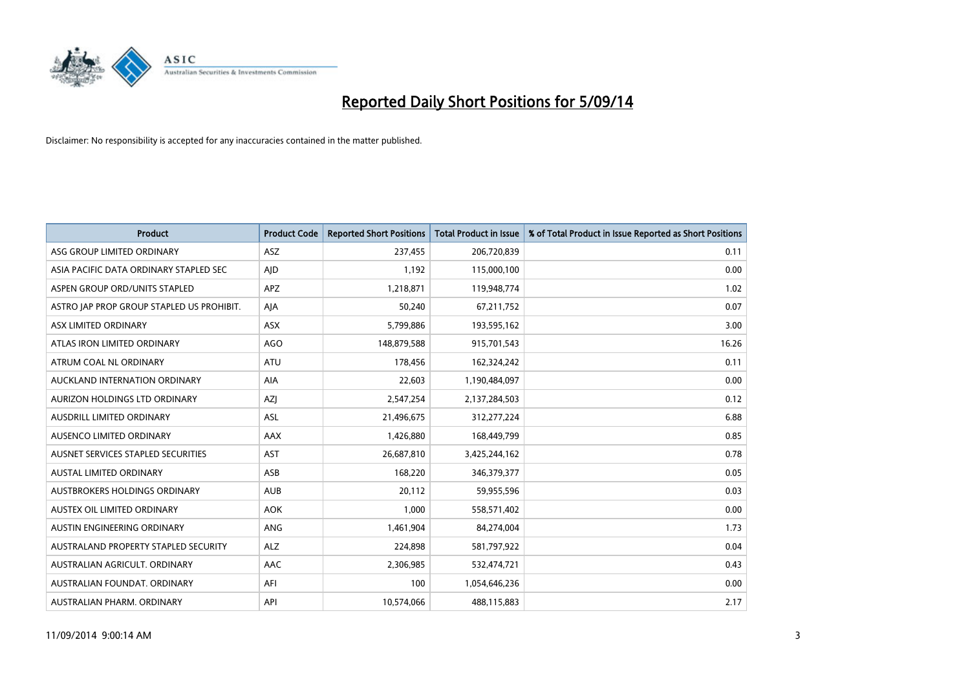

| <b>Product</b>                            | <b>Product Code</b> | <b>Reported Short Positions</b> | <b>Total Product in Issue</b> | % of Total Product in Issue Reported as Short Positions |
|-------------------------------------------|---------------------|---------------------------------|-------------------------------|---------------------------------------------------------|
| ASG GROUP LIMITED ORDINARY                | <b>ASZ</b>          | 237,455                         | 206,720,839                   | 0.11                                                    |
| ASIA PACIFIC DATA ORDINARY STAPLED SEC    | <b>AID</b>          | 1,192                           | 115,000,100                   | 0.00                                                    |
| ASPEN GROUP ORD/UNITS STAPLED             | <b>APZ</b>          | 1,218,871                       | 119,948,774                   | 1.02                                                    |
| ASTRO JAP PROP GROUP STAPLED US PROHIBIT. | AJA                 | 50,240                          | 67,211,752                    | 0.07                                                    |
| ASX LIMITED ORDINARY                      | ASX                 | 5,799,886                       | 193,595,162                   | 3.00                                                    |
| ATLAS IRON LIMITED ORDINARY               | <b>AGO</b>          | 148,879,588                     | 915,701,543                   | 16.26                                                   |
| ATRUM COAL NL ORDINARY                    | ATU                 | 178,456                         | 162,324,242                   | 0.11                                                    |
| AUCKLAND INTERNATION ORDINARY             | AIA                 | 22,603                          | 1,190,484,097                 | 0.00                                                    |
| AURIZON HOLDINGS LTD ORDINARY             | AZJ                 | 2,547,254                       | 2,137,284,503                 | 0.12                                                    |
| AUSDRILL LIMITED ORDINARY                 | <b>ASL</b>          | 21,496,675                      | 312,277,224                   | 6.88                                                    |
| AUSENCO LIMITED ORDINARY                  | AAX                 | 1,426,880                       | 168,449,799                   | 0.85                                                    |
| AUSNET SERVICES STAPLED SECURITIES        | <b>AST</b>          | 26,687,810                      | 3,425,244,162                 | 0.78                                                    |
| AUSTAL LIMITED ORDINARY                   | ASB                 | 168,220                         | 346,379,377                   | 0.05                                                    |
| AUSTBROKERS HOLDINGS ORDINARY             | <b>AUB</b>          | 20,112                          | 59,955,596                    | 0.03                                                    |
| AUSTEX OIL LIMITED ORDINARY               | <b>AOK</b>          | 1,000                           | 558,571,402                   | 0.00                                                    |
| AUSTIN ENGINEERING ORDINARY               | ANG                 | 1,461,904                       | 84,274,004                    | 1.73                                                    |
| AUSTRALAND PROPERTY STAPLED SECURITY      | <b>ALZ</b>          | 224,898                         | 581,797,922                   | 0.04                                                    |
| AUSTRALIAN AGRICULT. ORDINARY             | AAC                 | 2,306,985                       | 532,474,721                   | 0.43                                                    |
| AUSTRALIAN FOUNDAT, ORDINARY              | AFI                 | 100                             | 1,054,646,236                 | 0.00                                                    |
| AUSTRALIAN PHARM. ORDINARY                | API                 | 10,574,066                      | 488,115,883                   | 2.17                                                    |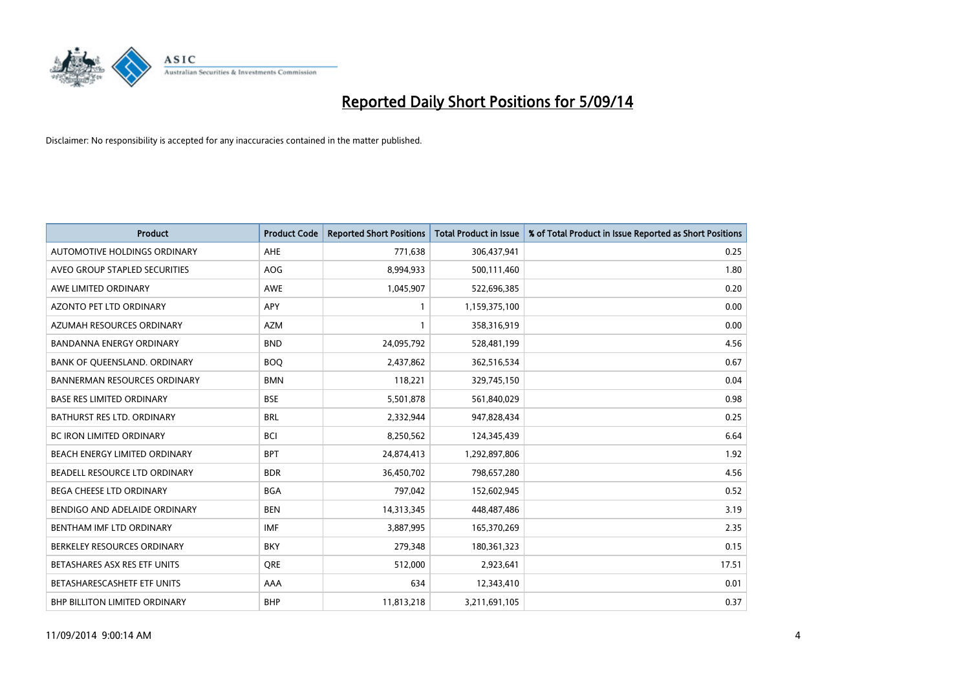

| <b>Product</b>                      | <b>Product Code</b> | <b>Reported Short Positions</b> | <b>Total Product in Issue</b> | % of Total Product in Issue Reported as Short Positions |
|-------------------------------------|---------------------|---------------------------------|-------------------------------|---------------------------------------------------------|
| AUTOMOTIVE HOLDINGS ORDINARY        | <b>AHE</b>          | 771,638                         | 306,437,941                   | 0.25                                                    |
| AVEO GROUP STAPLED SECURITIES       | <b>AOG</b>          | 8,994,933                       | 500,111,460                   | 1.80                                                    |
| AWE LIMITED ORDINARY                | <b>AWE</b>          | 1,045,907                       | 522,696,385                   | 0.20                                                    |
| AZONTO PET LTD ORDINARY             | <b>APY</b>          | 1                               | 1,159,375,100                 | 0.00                                                    |
| AZUMAH RESOURCES ORDINARY           | <b>AZM</b>          | 1                               | 358,316,919                   | 0.00                                                    |
| <b>BANDANNA ENERGY ORDINARY</b>     | <b>BND</b>          | 24,095,792                      | 528,481,199                   | 4.56                                                    |
| BANK OF QUEENSLAND. ORDINARY        | <b>BOQ</b>          | 2,437,862                       | 362,516,534                   | 0.67                                                    |
| <b>BANNERMAN RESOURCES ORDINARY</b> | <b>BMN</b>          | 118,221                         | 329,745,150                   | 0.04                                                    |
| <b>BASE RES LIMITED ORDINARY</b>    | <b>BSE</b>          | 5,501,878                       | 561,840,029                   | 0.98                                                    |
| <b>BATHURST RES LTD. ORDINARY</b>   | <b>BRL</b>          | 2,332,944                       | 947,828,434                   | 0.25                                                    |
| BC IRON LIMITED ORDINARY            | <b>BCI</b>          | 8,250,562                       | 124,345,439                   | 6.64                                                    |
| BEACH ENERGY LIMITED ORDINARY       | <b>BPT</b>          | 24,874,413                      | 1,292,897,806                 | 1.92                                                    |
| BEADELL RESOURCE LTD ORDINARY       | <b>BDR</b>          | 36,450,702                      | 798,657,280                   | 4.56                                                    |
| <b>BEGA CHEESE LTD ORDINARY</b>     | <b>BGA</b>          | 797,042                         | 152,602,945                   | 0.52                                                    |
| BENDIGO AND ADELAIDE ORDINARY       | <b>BEN</b>          | 14,313,345                      | 448,487,486                   | 3.19                                                    |
| BENTHAM IMF LTD ORDINARY            | <b>IMF</b>          | 3,887,995                       | 165,370,269                   | 2.35                                                    |
| BERKELEY RESOURCES ORDINARY         | <b>BKY</b>          | 279,348                         | 180,361,323                   | 0.15                                                    |
| BETASHARES ASX RES ETF UNITS        | <b>ORE</b>          | 512,000                         | 2,923,641                     | 17.51                                                   |
| BETASHARESCASHETF ETF UNITS         | AAA                 | 634                             | 12,343,410                    | 0.01                                                    |
| BHP BILLITON LIMITED ORDINARY       | <b>BHP</b>          | 11,813,218                      | 3,211,691,105                 | 0.37                                                    |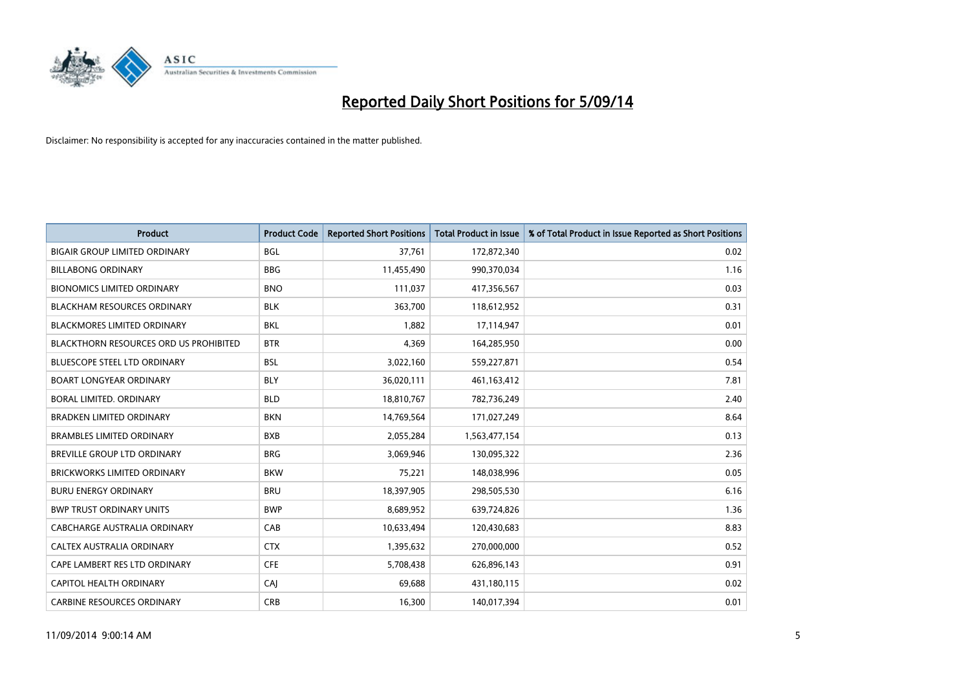

| <b>Product</b>                                | <b>Product Code</b> | <b>Reported Short Positions</b> | <b>Total Product in Issue</b> | % of Total Product in Issue Reported as Short Positions |
|-----------------------------------------------|---------------------|---------------------------------|-------------------------------|---------------------------------------------------------|
| <b>BIGAIR GROUP LIMITED ORDINARY</b>          | <b>BGL</b>          | 37,761                          | 172,872,340                   | 0.02                                                    |
| <b>BILLABONG ORDINARY</b>                     | <b>BBG</b>          | 11,455,490                      | 990,370,034                   | 1.16                                                    |
| <b>BIONOMICS LIMITED ORDINARY</b>             | <b>BNO</b>          | 111,037                         | 417,356,567                   | 0.03                                                    |
| <b>BLACKHAM RESOURCES ORDINARY</b>            | <b>BLK</b>          | 363,700                         | 118,612,952                   | 0.31                                                    |
| <b>BLACKMORES LIMITED ORDINARY</b>            | <b>BKL</b>          | 1,882                           | 17,114,947                    | 0.01                                                    |
| <b>BLACKTHORN RESOURCES ORD US PROHIBITED</b> | <b>BTR</b>          | 4,369                           | 164,285,950                   | 0.00                                                    |
| <b>BLUESCOPE STEEL LTD ORDINARY</b>           | <b>BSL</b>          | 3,022,160                       | 559,227,871                   | 0.54                                                    |
| <b>BOART LONGYEAR ORDINARY</b>                | <b>BLY</b>          | 36,020,111                      | 461,163,412                   | 7.81                                                    |
| <b>BORAL LIMITED, ORDINARY</b>                | <b>BLD</b>          | 18,810,767                      | 782,736,249                   | 2.40                                                    |
| <b>BRADKEN LIMITED ORDINARY</b>               | <b>BKN</b>          | 14,769,564                      | 171,027,249                   | 8.64                                                    |
| <b>BRAMBLES LIMITED ORDINARY</b>              | <b>BXB</b>          | 2,055,284                       | 1,563,477,154                 | 0.13                                                    |
| BREVILLE GROUP LTD ORDINARY                   | <b>BRG</b>          | 3,069,946                       | 130,095,322                   | 2.36                                                    |
| <b>BRICKWORKS LIMITED ORDINARY</b>            | <b>BKW</b>          | 75,221                          | 148,038,996                   | 0.05                                                    |
| <b>BURU ENERGY ORDINARY</b>                   | <b>BRU</b>          | 18,397,905                      | 298,505,530                   | 6.16                                                    |
| <b>BWP TRUST ORDINARY UNITS</b>               | <b>BWP</b>          | 8,689,952                       | 639,724,826                   | 1.36                                                    |
| CABCHARGE AUSTRALIA ORDINARY                  | CAB                 | 10,633,494                      | 120,430,683                   | 8.83                                                    |
| CALTEX AUSTRALIA ORDINARY                     | <b>CTX</b>          | 1,395,632                       | 270,000,000                   | 0.52                                                    |
| CAPE LAMBERT RES LTD ORDINARY                 | <b>CFE</b>          | 5,708,438                       | 626,896,143                   | 0.91                                                    |
| <b>CAPITOL HEALTH ORDINARY</b>                | CAJ                 | 69,688                          | 431,180,115                   | 0.02                                                    |
| <b>CARBINE RESOURCES ORDINARY</b>             | <b>CRB</b>          | 16,300                          | 140,017,394                   | 0.01                                                    |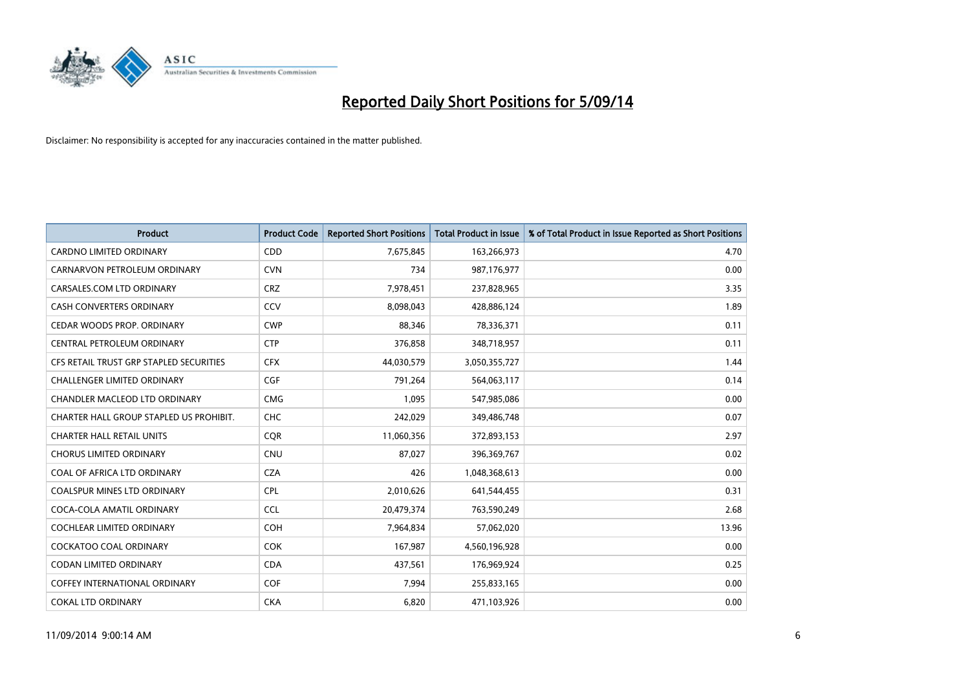

| <b>Product</b>                          | <b>Product Code</b> | <b>Reported Short Positions</b> | <b>Total Product in Issue</b> | % of Total Product in Issue Reported as Short Positions |
|-----------------------------------------|---------------------|---------------------------------|-------------------------------|---------------------------------------------------------|
| <b>CARDNO LIMITED ORDINARY</b>          | CDD                 | 7,675,845                       | 163,266,973                   | 4.70                                                    |
| CARNARVON PETROLEUM ORDINARY            | <b>CVN</b>          | 734                             | 987,176,977                   | 0.00                                                    |
| CARSALES.COM LTD ORDINARY               | <b>CRZ</b>          | 7,978,451                       | 237,828,965                   | 3.35                                                    |
| CASH CONVERTERS ORDINARY                | CCV                 | 8,098,043                       | 428,886,124                   | 1.89                                                    |
| CEDAR WOODS PROP. ORDINARY              | <b>CWP</b>          | 88,346                          | 78,336,371                    | 0.11                                                    |
| CENTRAL PETROLEUM ORDINARY              | <b>CTP</b>          | 376,858                         | 348,718,957                   | 0.11                                                    |
| CFS RETAIL TRUST GRP STAPLED SECURITIES | <b>CFX</b>          | 44,030,579                      | 3,050,355,727                 | 1.44                                                    |
| CHALLENGER LIMITED ORDINARY             | <b>CGF</b>          | 791,264                         | 564,063,117                   | 0.14                                                    |
| CHANDLER MACLEOD LTD ORDINARY           | <b>CMG</b>          | 1,095                           | 547,985,086                   | 0.00                                                    |
| CHARTER HALL GROUP STAPLED US PROHIBIT. | <b>CHC</b>          | 242,029                         | 349,486,748                   | 0.07                                                    |
| <b>CHARTER HALL RETAIL UNITS</b>        | <b>COR</b>          | 11,060,356                      | 372,893,153                   | 2.97                                                    |
| <b>CHORUS LIMITED ORDINARY</b>          | <b>CNU</b>          | 87,027                          | 396,369,767                   | 0.02                                                    |
| COAL OF AFRICA LTD ORDINARY             | <b>CZA</b>          | 426                             | 1,048,368,613                 | 0.00                                                    |
| <b>COALSPUR MINES LTD ORDINARY</b>      | <b>CPL</b>          | 2,010,626                       | 641,544,455                   | 0.31                                                    |
| COCA-COLA AMATIL ORDINARY               | <b>CCL</b>          | 20,479,374                      | 763,590,249                   | 2.68                                                    |
| <b>COCHLEAR LIMITED ORDINARY</b>        | <b>COH</b>          | 7,964,834                       | 57,062,020                    | 13.96                                                   |
| <b>COCKATOO COAL ORDINARY</b>           | <b>COK</b>          | 167,987                         | 4,560,196,928                 | 0.00                                                    |
| <b>CODAN LIMITED ORDINARY</b>           | <b>CDA</b>          | 437,561                         | 176,969,924                   | 0.25                                                    |
| <b>COFFEY INTERNATIONAL ORDINARY</b>    | COF                 | 7,994                           | 255,833,165                   | 0.00                                                    |
| <b>COKAL LTD ORDINARY</b>               | <b>CKA</b>          | 6,820                           | 471,103,926                   | 0.00                                                    |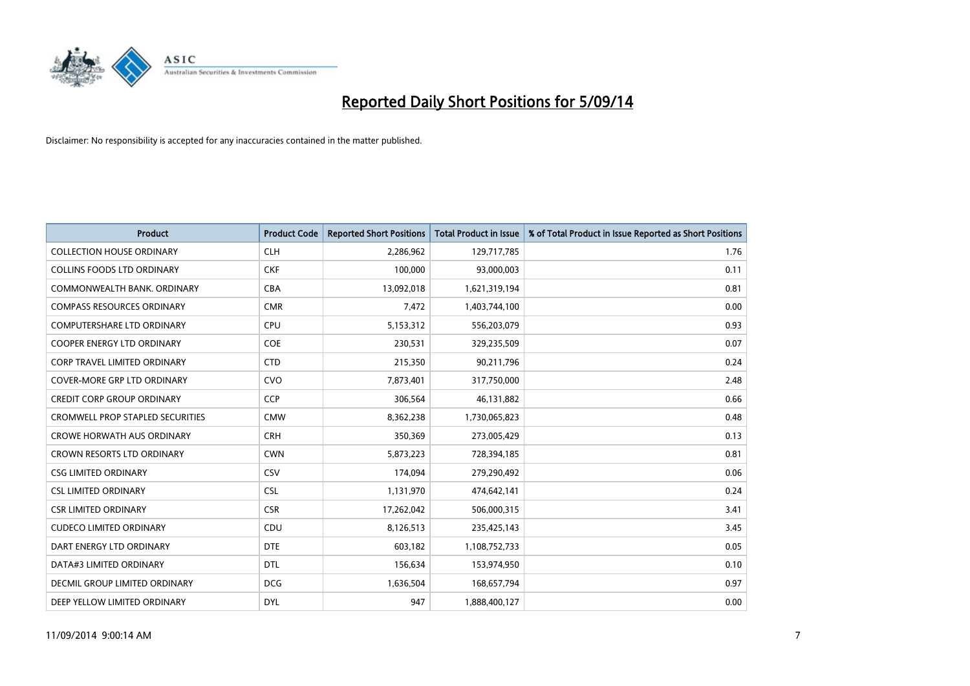

| <b>Product</b>                          | <b>Product Code</b> | <b>Reported Short Positions</b> | <b>Total Product in Issue</b> | % of Total Product in Issue Reported as Short Positions |
|-----------------------------------------|---------------------|---------------------------------|-------------------------------|---------------------------------------------------------|
| <b>COLLECTION HOUSE ORDINARY</b>        | <b>CLH</b>          | 2,286,962                       | 129,717,785                   | 1.76                                                    |
| COLLINS FOODS LTD ORDINARY              | <b>CKF</b>          | 100,000                         | 93,000,003                    | 0.11                                                    |
| COMMONWEALTH BANK, ORDINARY             | <b>CBA</b>          | 13,092,018                      | 1,621,319,194                 | 0.81                                                    |
| <b>COMPASS RESOURCES ORDINARY</b>       | <b>CMR</b>          | 7,472                           | 1,403,744,100                 | 0.00                                                    |
| <b>COMPUTERSHARE LTD ORDINARY</b>       | <b>CPU</b>          | 5,153,312                       | 556,203,079                   | 0.93                                                    |
| <b>COOPER ENERGY LTD ORDINARY</b>       | <b>COE</b>          | 230,531                         | 329,235,509                   | 0.07                                                    |
| <b>CORP TRAVEL LIMITED ORDINARY</b>     | <b>CTD</b>          | 215,350                         | 90,211,796                    | 0.24                                                    |
| COVER-MORE GRP LTD ORDINARY             | <b>CVO</b>          | 7,873,401                       | 317,750,000                   | 2.48                                                    |
| <b>CREDIT CORP GROUP ORDINARY</b>       | <b>CCP</b>          | 306,564                         | 46,131,882                    | 0.66                                                    |
| <b>CROMWELL PROP STAPLED SECURITIES</b> | <b>CMW</b>          | 8,362,238                       | 1,730,065,823                 | 0.48                                                    |
| <b>CROWE HORWATH AUS ORDINARY</b>       | <b>CRH</b>          | 350,369                         | 273,005,429                   | 0.13                                                    |
| CROWN RESORTS LTD ORDINARY              | <b>CWN</b>          | 5,873,223                       | 728,394,185                   | 0.81                                                    |
| <b>CSG LIMITED ORDINARY</b>             | CSV                 | 174,094                         | 279,290,492                   | 0.06                                                    |
| <b>CSL LIMITED ORDINARY</b>             | <b>CSL</b>          | 1,131,970                       | 474,642,141                   | 0.24                                                    |
| <b>CSR LIMITED ORDINARY</b>             | <b>CSR</b>          | 17,262,042                      | 506,000,315                   | 3.41                                                    |
| <b>CUDECO LIMITED ORDINARY</b>          | CDU                 | 8,126,513                       | 235,425,143                   | 3.45                                                    |
| DART ENERGY LTD ORDINARY                | <b>DTE</b>          | 603,182                         | 1,108,752,733                 | 0.05                                                    |
| DATA#3 LIMITED ORDINARY                 | <b>DTL</b>          | 156,634                         | 153,974,950                   | 0.10                                                    |
| DECMIL GROUP LIMITED ORDINARY           | <b>DCG</b>          | 1,636,504                       | 168,657,794                   | 0.97                                                    |
| DEEP YELLOW LIMITED ORDINARY            | <b>DYL</b>          | 947                             | 1,888,400,127                 | 0.00                                                    |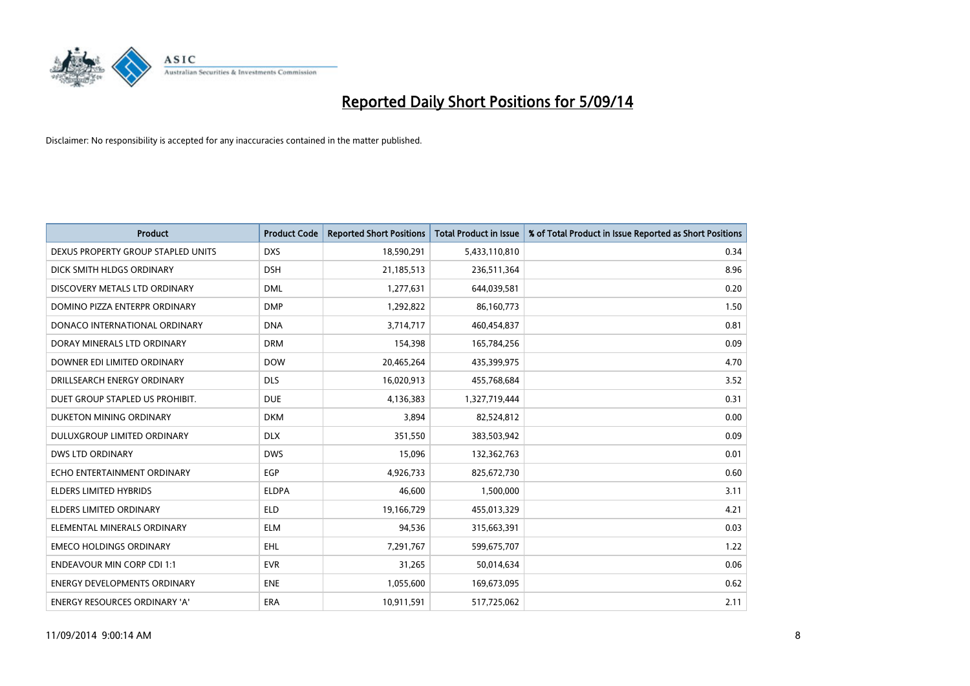

| <b>Product</b>                      | <b>Product Code</b> | <b>Reported Short Positions</b> | <b>Total Product in Issue</b> | % of Total Product in Issue Reported as Short Positions |
|-------------------------------------|---------------------|---------------------------------|-------------------------------|---------------------------------------------------------|
| DEXUS PROPERTY GROUP STAPLED UNITS  | <b>DXS</b>          | 18,590,291                      | 5,433,110,810                 | 0.34                                                    |
| DICK SMITH HLDGS ORDINARY           | <b>DSH</b>          | 21,185,513                      | 236,511,364                   | 8.96                                                    |
| DISCOVERY METALS LTD ORDINARY       | <b>DML</b>          | 1,277,631                       | 644,039,581                   | 0.20                                                    |
| DOMINO PIZZA ENTERPR ORDINARY       | <b>DMP</b>          | 1,292,822                       | 86,160,773                    | 1.50                                                    |
| DONACO INTERNATIONAL ORDINARY       | <b>DNA</b>          | 3,714,717                       | 460,454,837                   | 0.81                                                    |
| DORAY MINERALS LTD ORDINARY         | <b>DRM</b>          | 154,398                         | 165,784,256                   | 0.09                                                    |
| DOWNER EDI LIMITED ORDINARY         | <b>DOW</b>          | 20,465,264                      | 435,399,975                   | 4.70                                                    |
| DRILLSEARCH ENERGY ORDINARY         | <b>DLS</b>          | 16,020,913                      | 455,768,684                   | 3.52                                                    |
| DUET GROUP STAPLED US PROHIBIT.     | <b>DUE</b>          | 4,136,383                       | 1,327,719,444                 | 0.31                                                    |
| DUKETON MINING ORDINARY             | <b>DKM</b>          | 3,894                           | 82,524,812                    | 0.00                                                    |
| DULUXGROUP LIMITED ORDINARY         | <b>DLX</b>          | 351,550                         | 383,503,942                   | 0.09                                                    |
| <b>DWS LTD ORDINARY</b>             | <b>DWS</b>          | 15,096                          | 132,362,763                   | 0.01                                                    |
| ECHO ENTERTAINMENT ORDINARY         | <b>EGP</b>          | 4,926,733                       | 825,672,730                   | 0.60                                                    |
| <b>ELDERS LIMITED HYBRIDS</b>       | <b>ELDPA</b>        | 46,600                          | 1,500,000                     | 3.11                                                    |
| <b>ELDERS LIMITED ORDINARY</b>      | <b>ELD</b>          | 19,166,729                      | 455,013,329                   | 4.21                                                    |
| ELEMENTAL MINERALS ORDINARY         | <b>ELM</b>          | 94,536                          | 315,663,391                   | 0.03                                                    |
| <b>EMECO HOLDINGS ORDINARY</b>      | <b>EHL</b>          | 7,291,767                       | 599,675,707                   | 1.22                                                    |
| <b>ENDEAVOUR MIN CORP CDI 1:1</b>   | <b>EVR</b>          | 31,265                          | 50,014,634                    | 0.06                                                    |
| <b>ENERGY DEVELOPMENTS ORDINARY</b> | <b>ENE</b>          | 1,055,600                       | 169,673,095                   | 0.62                                                    |
| ENERGY RESOURCES ORDINARY 'A'       | ERA                 | 10,911,591                      | 517,725,062                   | 2.11                                                    |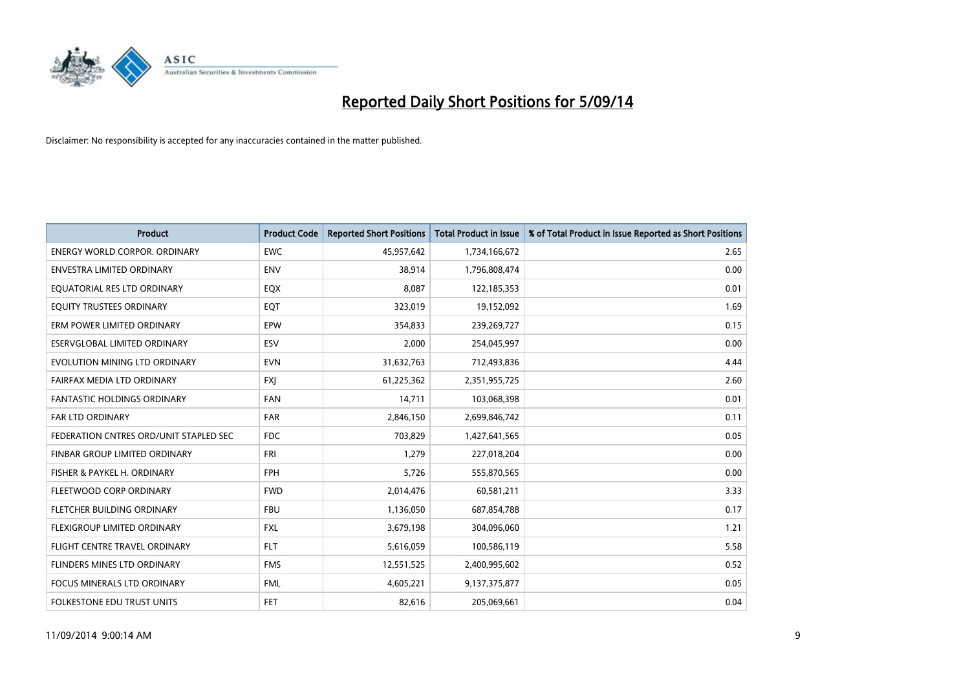

| <b>Product</b>                         | <b>Product Code</b> | <b>Reported Short Positions</b> | <b>Total Product in Issue</b> | % of Total Product in Issue Reported as Short Positions |
|----------------------------------------|---------------------|---------------------------------|-------------------------------|---------------------------------------------------------|
| <b>ENERGY WORLD CORPOR, ORDINARY</b>   | <b>EWC</b>          | 45,957,642                      | 1,734,166,672                 | 2.65                                                    |
| ENVESTRA LIMITED ORDINARY              | <b>ENV</b>          | 38,914                          | 1,796,808,474                 | 0.00                                                    |
| EQUATORIAL RES LTD ORDINARY            | EQX                 | 8,087                           | 122,185,353                   | 0.01                                                    |
| EQUITY TRUSTEES ORDINARY               | EQT                 | 323,019                         | 19,152,092                    | 1.69                                                    |
| ERM POWER LIMITED ORDINARY             | EPW                 | 354,833                         | 239,269,727                   | 0.15                                                    |
| ESERVGLOBAL LIMITED ORDINARY           | ESV                 | 2,000                           | 254,045,997                   | 0.00                                                    |
| EVOLUTION MINING LTD ORDINARY          | <b>EVN</b>          | 31,632,763                      | 712,493,836                   | 4.44                                                    |
| FAIRFAX MEDIA LTD ORDINARY             | FXJ                 | 61,225,362                      | 2,351,955,725                 | 2.60                                                    |
| <b>FANTASTIC HOLDINGS ORDINARY</b>     | <b>FAN</b>          | 14,711                          | 103,068,398                   | 0.01                                                    |
| FAR LTD ORDINARY                       | FAR                 | 2,846,150                       | 2,699,846,742                 | 0.11                                                    |
| FEDERATION CNTRES ORD/UNIT STAPLED SEC | <b>FDC</b>          | 703,829                         | 1,427,641,565                 | 0.05                                                    |
| FINBAR GROUP LIMITED ORDINARY          | FRI                 | 1,279                           | 227,018,204                   | 0.00                                                    |
| FISHER & PAYKEL H. ORDINARY            | <b>FPH</b>          | 5,726                           | 555,870,565                   | 0.00                                                    |
| FLEETWOOD CORP ORDINARY                | <b>FWD</b>          | 2,014,476                       | 60,581,211                    | 3.33                                                    |
| FLETCHER BUILDING ORDINARY             | <b>FBU</b>          | 1,136,050                       | 687,854,788                   | 0.17                                                    |
| FLEXIGROUP LIMITED ORDINARY            | <b>FXL</b>          | 3,679,198                       | 304,096,060                   | 1.21                                                    |
| FLIGHT CENTRE TRAVEL ORDINARY          | <b>FLT</b>          | 5,616,059                       | 100,586,119                   | 5.58                                                    |
| FLINDERS MINES LTD ORDINARY            | <b>FMS</b>          | 12,551,525                      | 2,400,995,602                 | 0.52                                                    |
| <b>FOCUS MINERALS LTD ORDINARY</b>     | <b>FML</b>          | 4,605,221                       | 9,137,375,877                 | 0.05                                                    |
| FOLKESTONE EDU TRUST UNITS             | <b>FET</b>          | 82,616                          | 205,069,661                   | 0.04                                                    |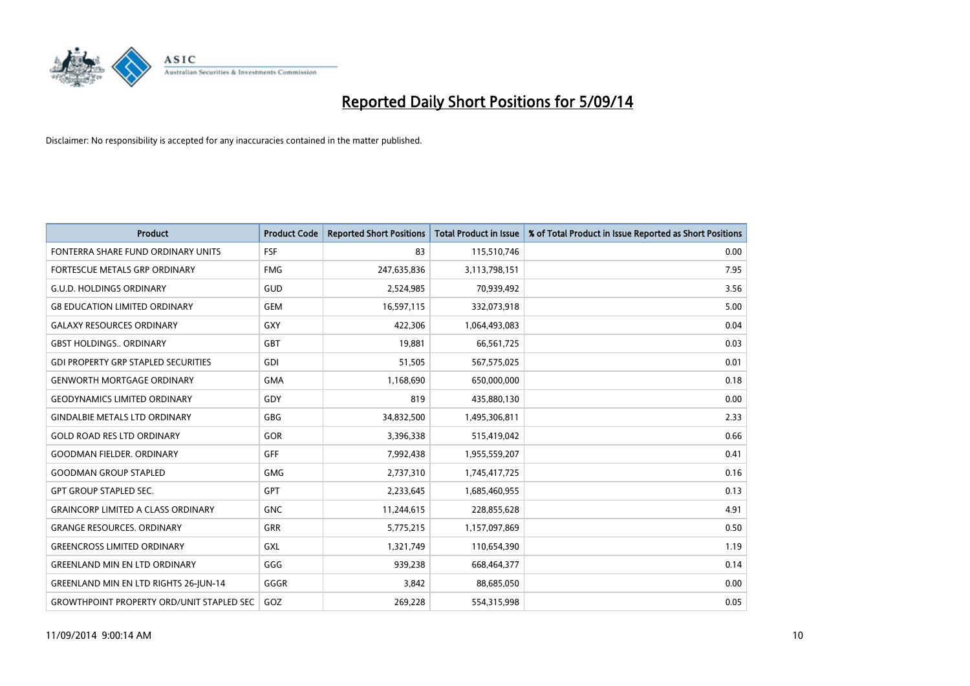

| <b>Product</b>                                   | <b>Product Code</b> | <b>Reported Short Positions</b> | <b>Total Product in Issue</b> | % of Total Product in Issue Reported as Short Positions |
|--------------------------------------------------|---------------------|---------------------------------|-------------------------------|---------------------------------------------------------|
| FONTERRA SHARE FUND ORDINARY UNITS               | <b>FSF</b>          | 83                              | 115,510,746                   | 0.00                                                    |
| FORTESCUE METALS GRP ORDINARY                    | <b>FMG</b>          | 247,635,836                     | 3,113,798,151                 | 7.95                                                    |
| <b>G.U.D. HOLDINGS ORDINARY</b>                  | <b>GUD</b>          | 2,524,985                       | 70,939,492                    | 3.56                                                    |
| <b>G8 EDUCATION LIMITED ORDINARY</b>             | <b>GEM</b>          | 16,597,115                      | 332,073,918                   | 5.00                                                    |
| <b>GALAXY RESOURCES ORDINARY</b>                 | <b>GXY</b>          | 422,306                         | 1,064,493,083                 | 0.04                                                    |
| <b>GBST HOLDINGS ORDINARY</b>                    | GBT                 | 19,881                          | 66,561,725                    | 0.03                                                    |
| <b>GDI PROPERTY GRP STAPLED SECURITIES</b>       | GDI                 | 51,505                          | 567,575,025                   | 0.01                                                    |
| <b>GENWORTH MORTGAGE ORDINARY</b>                | <b>GMA</b>          | 1,168,690                       | 650,000,000                   | 0.18                                                    |
| <b>GEODYNAMICS LIMITED ORDINARY</b>              | GDY                 | 819                             | 435,880,130                   | 0.00                                                    |
| <b>GINDALBIE METALS LTD ORDINARY</b>             | <b>GBG</b>          | 34,832,500                      | 1,495,306,811                 | 2.33                                                    |
| <b>GOLD ROAD RES LTD ORDINARY</b>                | GOR                 | 3,396,338                       | 515,419,042                   | 0.66                                                    |
| <b>GOODMAN FIELDER, ORDINARY</b>                 | <b>GFF</b>          | 7,992,438                       | 1,955,559,207                 | 0.41                                                    |
| <b>GOODMAN GROUP STAPLED</b>                     | <b>GMG</b>          | 2,737,310                       | 1,745,417,725                 | 0.16                                                    |
| <b>GPT GROUP STAPLED SEC.</b>                    | <b>GPT</b>          | 2,233,645                       | 1,685,460,955                 | 0.13                                                    |
| <b>GRAINCORP LIMITED A CLASS ORDINARY</b>        | <b>GNC</b>          | 11,244,615                      | 228,855,628                   | 4.91                                                    |
| <b>GRANGE RESOURCES. ORDINARY</b>                | GRR                 | 5,775,215                       | 1,157,097,869                 | 0.50                                                    |
| <b>GREENCROSS LIMITED ORDINARY</b>               | <b>GXL</b>          | 1,321,749                       | 110,654,390                   | 1.19                                                    |
| <b>GREENLAND MIN EN LTD ORDINARY</b>             | GGG                 | 939,238                         | 668,464,377                   | 0.14                                                    |
| <b>GREENLAND MIN EN LTD RIGHTS 26-JUN-14</b>     | GGGR                | 3,842                           | 88,685,050                    | 0.00                                                    |
| <b>GROWTHPOINT PROPERTY ORD/UNIT STAPLED SEC</b> | GOZ                 | 269,228                         | 554,315,998                   | 0.05                                                    |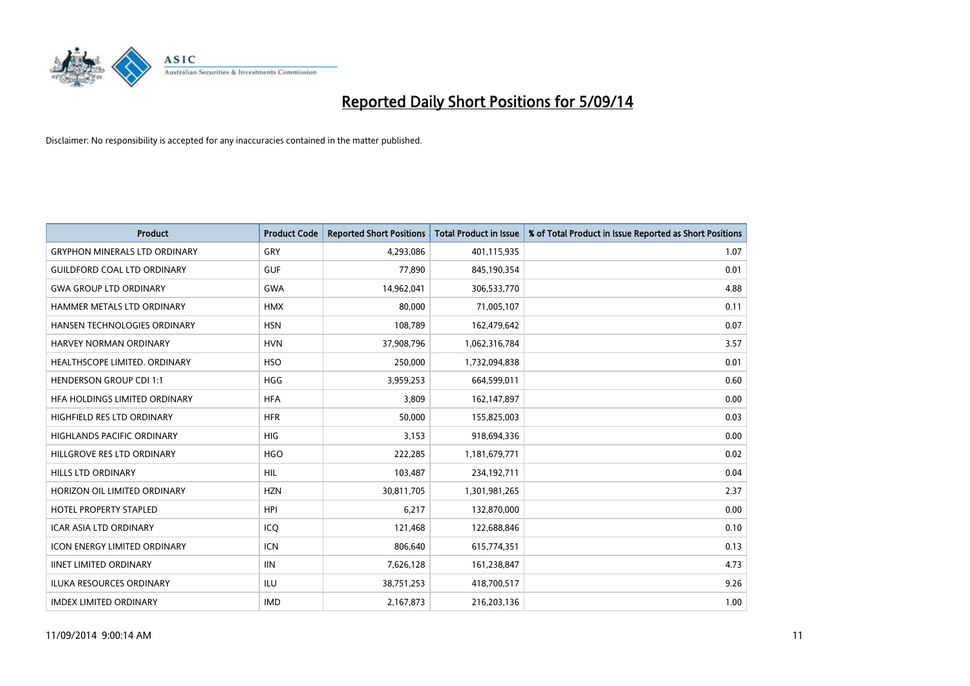

| <b>Product</b>                       | <b>Product Code</b> | <b>Reported Short Positions</b> | <b>Total Product in Issue</b> | % of Total Product in Issue Reported as Short Positions |
|--------------------------------------|---------------------|---------------------------------|-------------------------------|---------------------------------------------------------|
| <b>GRYPHON MINERALS LTD ORDINARY</b> | GRY                 | 4,293,086                       | 401,115,935                   | 1.07                                                    |
| <b>GUILDFORD COAL LTD ORDINARY</b>   | <b>GUF</b>          | 77,890                          | 845,190,354                   | 0.01                                                    |
| <b>GWA GROUP LTD ORDINARY</b>        | <b>GWA</b>          | 14,962,041                      | 306,533,770                   | 4.88                                                    |
| HAMMER METALS LTD ORDINARY           | <b>HMX</b>          | 80,000                          | 71,005,107                    | 0.11                                                    |
| HANSEN TECHNOLOGIES ORDINARY         | <b>HSN</b>          | 108,789                         | 162,479,642                   | 0.07                                                    |
| <b>HARVEY NORMAN ORDINARY</b>        | <b>HVN</b>          | 37,908,796                      | 1,062,316,784                 | 3.57                                                    |
| HEALTHSCOPE LIMITED. ORDINARY        | <b>HSO</b>          | 250,000                         | 1,732,094,838                 | 0.01                                                    |
| <b>HENDERSON GROUP CDI 1:1</b>       | <b>HGG</b>          | 3,959,253                       | 664,599,011                   | 0.60                                                    |
| HFA HOLDINGS LIMITED ORDINARY        | <b>HFA</b>          | 3,809                           | 162,147,897                   | 0.00                                                    |
| HIGHFIELD RES LTD ORDINARY           | <b>HFR</b>          | 50,000                          | 155,825,003                   | 0.03                                                    |
| HIGHLANDS PACIFIC ORDINARY           | <b>HIG</b>          | 3,153                           | 918,694,336                   | 0.00                                                    |
| HILLGROVE RES LTD ORDINARY           | <b>HGO</b>          | 222,285                         | 1,181,679,771                 | 0.02                                                    |
| HILLS LTD ORDINARY                   | HIL                 | 103,487                         | 234,192,711                   | 0.04                                                    |
| HORIZON OIL LIMITED ORDINARY         | <b>HZN</b>          | 30,811,705                      | 1,301,981,265                 | 2.37                                                    |
| <b>HOTEL PROPERTY STAPLED</b>        | <b>HPI</b>          | 6,217                           | 132,870,000                   | 0.00                                                    |
| <b>ICAR ASIA LTD ORDINARY</b>        | ICO                 | 121,468                         | 122,688,846                   | 0.10                                                    |
| <b>ICON ENERGY LIMITED ORDINARY</b>  | <b>ICN</b>          | 806,640                         | 615,774,351                   | 0.13                                                    |
| <b>IINET LIMITED ORDINARY</b>        | <b>IIN</b>          | 7,626,128                       | 161,238,847                   | 4.73                                                    |
| <b>ILUKA RESOURCES ORDINARY</b>      | <b>ILU</b>          | 38,751,253                      | 418,700,517                   | 9.26                                                    |
| <b>IMDEX LIMITED ORDINARY</b>        | <b>IMD</b>          | 2,167,873                       | 216,203,136                   | 1.00                                                    |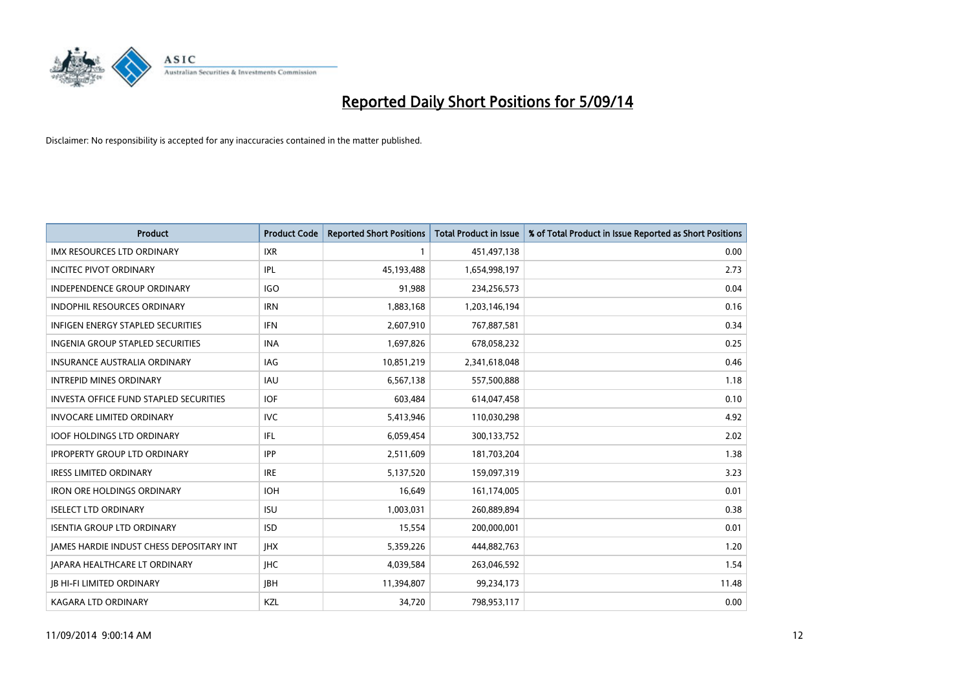

| <b>Product</b>                                | <b>Product Code</b> | <b>Reported Short Positions</b> | <b>Total Product in Issue</b> | % of Total Product in Issue Reported as Short Positions |
|-----------------------------------------------|---------------------|---------------------------------|-------------------------------|---------------------------------------------------------|
| <b>IMX RESOURCES LTD ORDINARY</b>             | <b>IXR</b>          | 1                               | 451,497,138                   | 0.00                                                    |
| <b>INCITEC PIVOT ORDINARY</b>                 | IPL                 | 45,193,488                      | 1,654,998,197                 | 2.73                                                    |
| <b>INDEPENDENCE GROUP ORDINARY</b>            | <b>IGO</b>          | 91,988                          | 234,256,573                   | 0.04                                                    |
| INDOPHIL RESOURCES ORDINARY                   | <b>IRN</b>          | 1,883,168                       | 1,203,146,194                 | 0.16                                                    |
| <b>INFIGEN ENERGY STAPLED SECURITIES</b>      | <b>IFN</b>          | 2,607,910                       | 767,887,581                   | 0.34                                                    |
| INGENIA GROUP STAPLED SECURITIES              | <b>INA</b>          | 1,697,826                       | 678,058,232                   | 0.25                                                    |
| INSURANCE AUSTRALIA ORDINARY                  | IAG                 | 10,851,219                      | 2,341,618,048                 | 0.46                                                    |
| <b>INTREPID MINES ORDINARY</b>                | <b>IAU</b>          | 6,567,138                       | 557,500,888                   | 1.18                                                    |
| <b>INVESTA OFFICE FUND STAPLED SECURITIES</b> | <b>IOF</b>          | 603,484                         | 614,047,458                   | 0.10                                                    |
| <b>INVOCARE LIMITED ORDINARY</b>              | IVC                 | 5,413,946                       | 110,030,298                   | 4.92                                                    |
| <b>IOOF HOLDINGS LTD ORDINARY</b>             | IFL                 | 6,059,454                       | 300,133,752                   | 2.02                                                    |
| <b>IPROPERTY GROUP LTD ORDINARY</b>           | <b>IPP</b>          | 2,511,609                       | 181,703,204                   | 1.38                                                    |
| <b>IRESS LIMITED ORDINARY</b>                 | <b>IRE</b>          | 5,137,520                       | 159,097,319                   | 3.23                                                    |
| <b>IRON ORE HOLDINGS ORDINARY</b>             | <b>IOH</b>          | 16,649                          | 161,174,005                   | 0.01                                                    |
| <b>ISELECT LTD ORDINARY</b>                   | <b>ISU</b>          | 1,003,031                       | 260,889,894                   | 0.38                                                    |
| <b>ISENTIA GROUP LTD ORDINARY</b>             | <b>ISD</b>          | 15,554                          | 200,000,001                   | 0.01                                                    |
| JAMES HARDIE INDUST CHESS DEPOSITARY INT      | <b>IHX</b>          | 5,359,226                       | 444,882,763                   | 1.20                                                    |
| <b>JAPARA HEALTHCARE LT ORDINARY</b>          | <b>IHC</b>          | 4,039,584                       | 263,046,592                   | 1.54                                                    |
| <b>JB HI-FI LIMITED ORDINARY</b>              | <b>IBH</b>          | 11,394,807                      | 99,234,173                    | 11.48                                                   |
| <b>KAGARA LTD ORDINARY</b>                    | KZL                 | 34,720                          | 798,953,117                   | 0.00                                                    |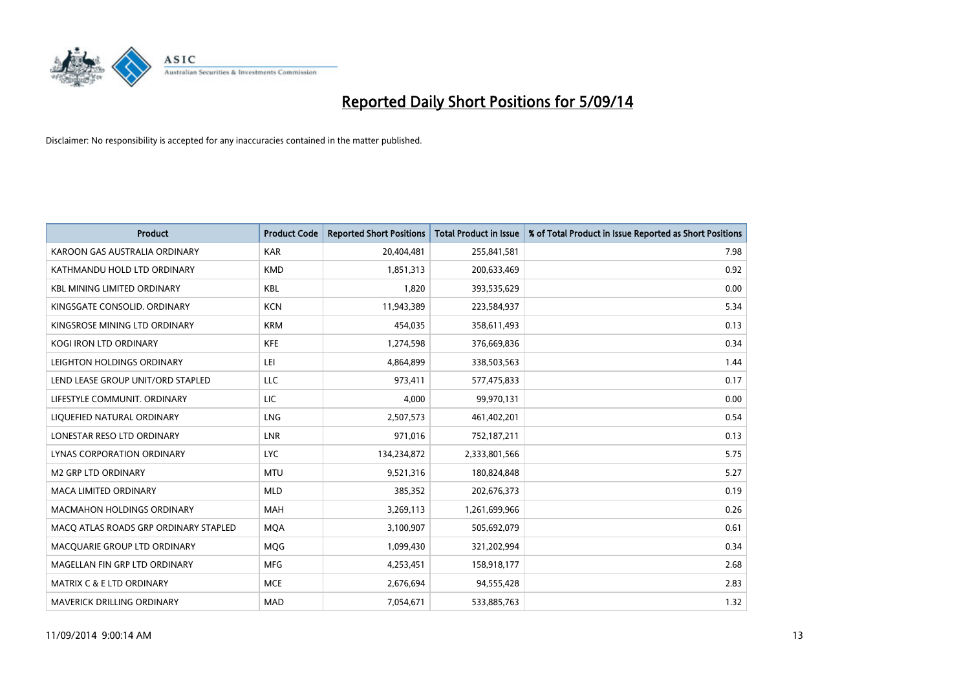

| <b>Product</b>                        | <b>Product Code</b> | <b>Reported Short Positions</b> | <b>Total Product in Issue</b> | % of Total Product in Issue Reported as Short Positions |
|---------------------------------------|---------------------|---------------------------------|-------------------------------|---------------------------------------------------------|
| KAROON GAS AUSTRALIA ORDINARY         | <b>KAR</b>          | 20,404,481                      | 255,841,581                   | 7.98                                                    |
| KATHMANDU HOLD LTD ORDINARY           | <b>KMD</b>          | 1,851,313                       | 200,633,469                   | 0.92                                                    |
| <b>KBL MINING LIMITED ORDINARY</b>    | <b>KBL</b>          | 1,820                           | 393,535,629                   | 0.00                                                    |
| KINGSGATE CONSOLID. ORDINARY          | <b>KCN</b>          | 11,943,389                      | 223,584,937                   | 5.34                                                    |
| KINGSROSE MINING LTD ORDINARY         | <b>KRM</b>          | 454,035                         | 358,611,493                   | 0.13                                                    |
| <b>KOGI IRON LTD ORDINARY</b>         | <b>KFE</b>          | 1,274,598                       | 376,669,836                   | 0.34                                                    |
| LEIGHTON HOLDINGS ORDINARY            | LEI                 | 4,864,899                       | 338,503,563                   | 1.44                                                    |
| LEND LEASE GROUP UNIT/ORD STAPLED     | LLC                 | 973,411                         | 577,475,833                   | 0.17                                                    |
| LIFESTYLE COMMUNIT, ORDINARY          | <b>LIC</b>          | 4,000                           | 99,970,131                    | 0.00                                                    |
| LIQUEFIED NATURAL ORDINARY            | LNG                 | 2,507,573                       | 461,402,201                   | 0.54                                                    |
| LONESTAR RESO LTD ORDINARY            | LNR                 | 971,016                         | 752,187,211                   | 0.13                                                    |
| <b>LYNAS CORPORATION ORDINARY</b>     | <b>LYC</b>          | 134,234,872                     | 2,333,801,566                 | 5.75                                                    |
| M2 GRP LTD ORDINARY                   | <b>MTU</b>          | 9,521,316                       | 180,824,848                   | 5.27                                                    |
| <b>MACA LIMITED ORDINARY</b>          | <b>MLD</b>          | 385,352                         | 202,676,373                   | 0.19                                                    |
| <b>MACMAHON HOLDINGS ORDINARY</b>     | <b>MAH</b>          | 3,269,113                       | 1,261,699,966                 | 0.26                                                    |
| MACO ATLAS ROADS GRP ORDINARY STAPLED | <b>MOA</b>          | 3,100,907                       | 505,692,079                   | 0.61                                                    |
| MACQUARIE GROUP LTD ORDINARY          | <b>MQG</b>          | 1,099,430                       | 321,202,994                   | 0.34                                                    |
| MAGELLAN FIN GRP LTD ORDINARY         | <b>MFG</b>          | 4,253,451                       | 158,918,177                   | 2.68                                                    |
| MATRIX C & E LTD ORDINARY             | <b>MCE</b>          | 2,676,694                       | 94,555,428                    | 2.83                                                    |
| MAVERICK DRILLING ORDINARY            | <b>MAD</b>          | 7,054,671                       | 533,885,763                   | 1.32                                                    |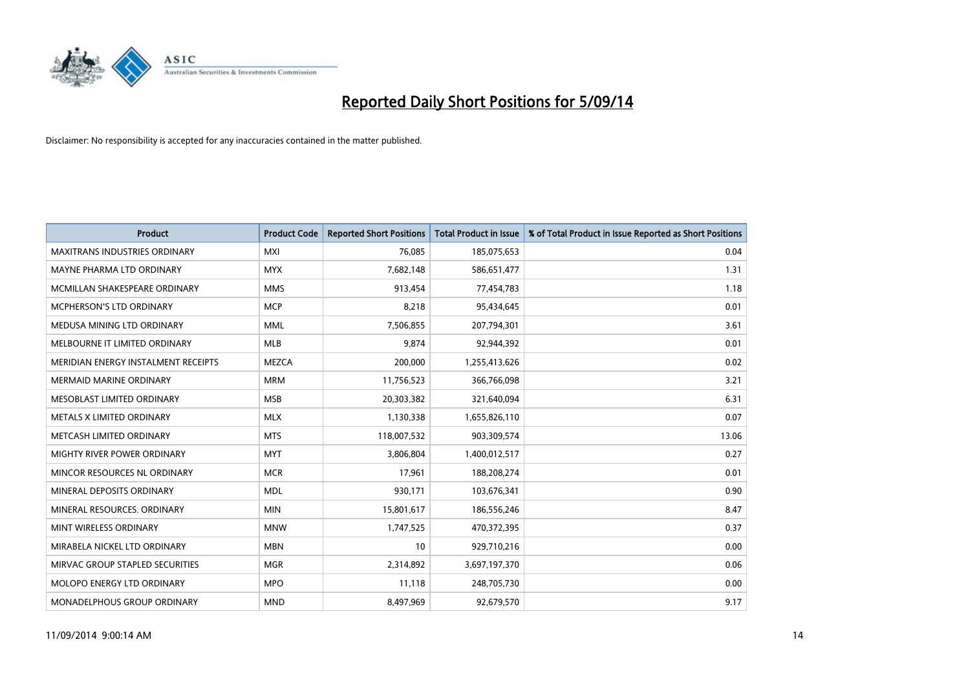

| <b>Product</b>                       | <b>Product Code</b> | <b>Reported Short Positions</b> | <b>Total Product in Issue</b> | % of Total Product in Issue Reported as Short Positions |
|--------------------------------------|---------------------|---------------------------------|-------------------------------|---------------------------------------------------------|
| <b>MAXITRANS INDUSTRIES ORDINARY</b> | <b>MXI</b>          | 76,085                          | 185,075,653                   | 0.04                                                    |
| MAYNE PHARMA LTD ORDINARY            | <b>MYX</b>          | 7,682,148                       | 586,651,477                   | 1.31                                                    |
| MCMILLAN SHAKESPEARE ORDINARY        | <b>MMS</b>          | 913,454                         | 77,454,783                    | 1.18                                                    |
| MCPHERSON'S LTD ORDINARY             | <b>MCP</b>          | 8,218                           | 95,434,645                    | 0.01                                                    |
| MEDUSA MINING LTD ORDINARY           | <b>MML</b>          | 7,506,855                       | 207,794,301                   | 3.61                                                    |
| MELBOURNE IT LIMITED ORDINARY        | <b>MLB</b>          | 9,874                           | 92,944,392                    | 0.01                                                    |
| MERIDIAN ENERGY INSTALMENT RECEIPTS  | <b>MEZCA</b>        | 200,000                         | 1,255,413,626                 | 0.02                                                    |
| <b>MERMAID MARINE ORDINARY</b>       | <b>MRM</b>          | 11,756,523                      | 366,766,098                   | 3.21                                                    |
| MESOBLAST LIMITED ORDINARY           | <b>MSB</b>          | 20,303,382                      | 321,640,094                   | 6.31                                                    |
| METALS X LIMITED ORDINARY            | <b>MLX</b>          | 1,130,338                       | 1,655,826,110                 | 0.07                                                    |
| METCASH LIMITED ORDINARY             | <b>MTS</b>          | 118,007,532                     | 903,309,574                   | 13.06                                                   |
| MIGHTY RIVER POWER ORDINARY          | <b>MYT</b>          | 3,806,804                       | 1,400,012,517                 | 0.27                                                    |
| MINCOR RESOURCES NL ORDINARY         | <b>MCR</b>          | 17,961                          | 188,208,274                   | 0.01                                                    |
| MINERAL DEPOSITS ORDINARY            | <b>MDL</b>          | 930,171                         | 103,676,341                   | 0.90                                                    |
| MINERAL RESOURCES, ORDINARY          | <b>MIN</b>          | 15,801,617                      | 186,556,246                   | 8.47                                                    |
| MINT WIRELESS ORDINARY               | <b>MNW</b>          | 1,747,525                       | 470,372,395                   | 0.37                                                    |
| MIRABELA NICKEL LTD ORDINARY         | <b>MBN</b>          | 10                              | 929,710,216                   | 0.00                                                    |
| MIRVAC GROUP STAPLED SECURITIES      | <b>MGR</b>          | 2,314,892                       | 3,697,197,370                 | 0.06                                                    |
| MOLOPO ENERGY LTD ORDINARY           | <b>MPO</b>          | 11,118                          | 248,705,730                   | 0.00                                                    |
| MONADELPHOUS GROUP ORDINARY          | <b>MND</b>          | 8,497,969                       | 92,679,570                    | 9.17                                                    |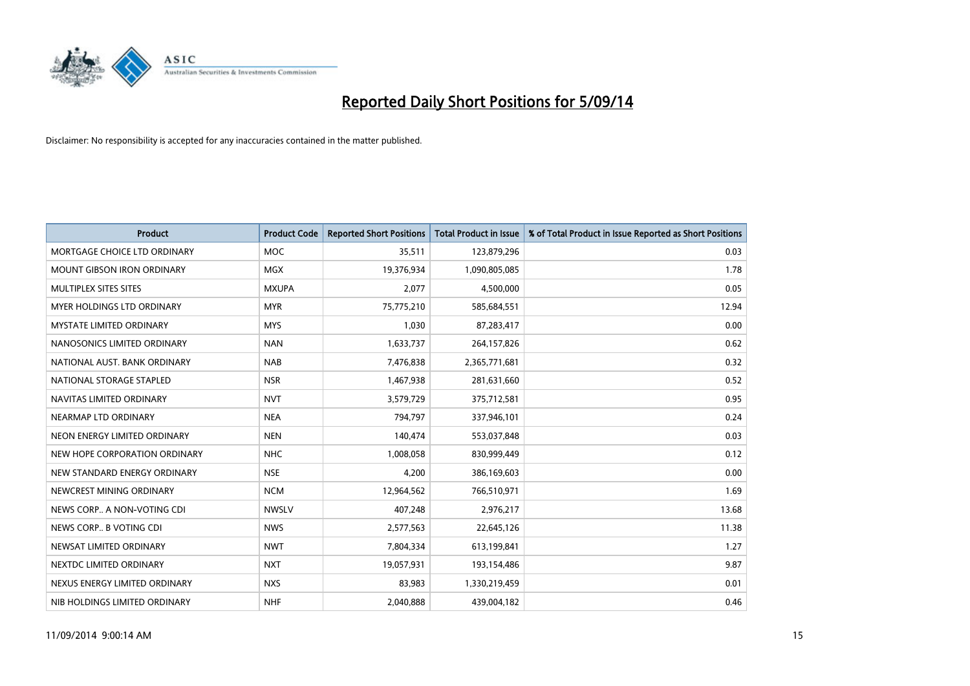

| <b>Product</b>                    | <b>Product Code</b> | <b>Reported Short Positions</b> | <b>Total Product in Issue</b> | % of Total Product in Issue Reported as Short Positions |
|-----------------------------------|---------------------|---------------------------------|-------------------------------|---------------------------------------------------------|
| MORTGAGE CHOICE LTD ORDINARY      | <b>MOC</b>          | 35,511                          | 123,879,296                   | 0.03                                                    |
| <b>MOUNT GIBSON IRON ORDINARY</b> | <b>MGX</b>          | 19,376,934                      | 1,090,805,085                 | 1.78                                                    |
| MULTIPLEX SITES SITES             | <b>MXUPA</b>        | 2,077                           | 4,500,000                     | 0.05                                                    |
| MYER HOLDINGS LTD ORDINARY        | <b>MYR</b>          | 75,775,210                      | 585,684,551                   | 12.94                                                   |
| <b>MYSTATE LIMITED ORDINARY</b>   | <b>MYS</b>          | 1,030                           | 87,283,417                    | 0.00                                                    |
| NANOSONICS LIMITED ORDINARY       | <b>NAN</b>          | 1,633,737                       | 264,157,826                   | 0.62                                                    |
| NATIONAL AUST, BANK ORDINARY      | <b>NAB</b>          | 7,476,838                       | 2,365,771,681                 | 0.32                                                    |
| NATIONAL STORAGE STAPLED          | <b>NSR</b>          | 1,467,938                       | 281,631,660                   | 0.52                                                    |
| NAVITAS LIMITED ORDINARY          | <b>NVT</b>          | 3,579,729                       | 375,712,581                   | 0.95                                                    |
| NEARMAP LTD ORDINARY              | <b>NEA</b>          | 794,797                         | 337,946,101                   | 0.24                                                    |
| NEON ENERGY LIMITED ORDINARY      | <b>NEN</b>          | 140,474                         | 553,037,848                   | 0.03                                                    |
| NEW HOPE CORPORATION ORDINARY     | <b>NHC</b>          | 1,008,058                       | 830,999,449                   | 0.12                                                    |
| NEW STANDARD ENERGY ORDINARY      | <b>NSE</b>          | 4,200                           | 386,169,603                   | 0.00                                                    |
| NEWCREST MINING ORDINARY          | <b>NCM</b>          | 12,964,562                      | 766,510,971                   | 1.69                                                    |
| NEWS CORP A NON-VOTING CDI        | <b>NWSLV</b>        | 407,248                         | 2,976,217                     | 13.68                                                   |
| NEWS CORP B VOTING CDI            | <b>NWS</b>          | 2,577,563                       | 22,645,126                    | 11.38                                                   |
| NEWSAT LIMITED ORDINARY           | <b>NWT</b>          | 7,804,334                       | 613,199,841                   | 1.27                                                    |
| NEXTDC LIMITED ORDINARY           | <b>NXT</b>          | 19,057,931                      | 193,154,486                   | 9.87                                                    |
| NEXUS ENERGY LIMITED ORDINARY     | <b>NXS</b>          | 83,983                          | 1,330,219,459                 | 0.01                                                    |
| NIB HOLDINGS LIMITED ORDINARY     | <b>NHF</b>          | 2,040,888                       | 439,004,182                   | 0.46                                                    |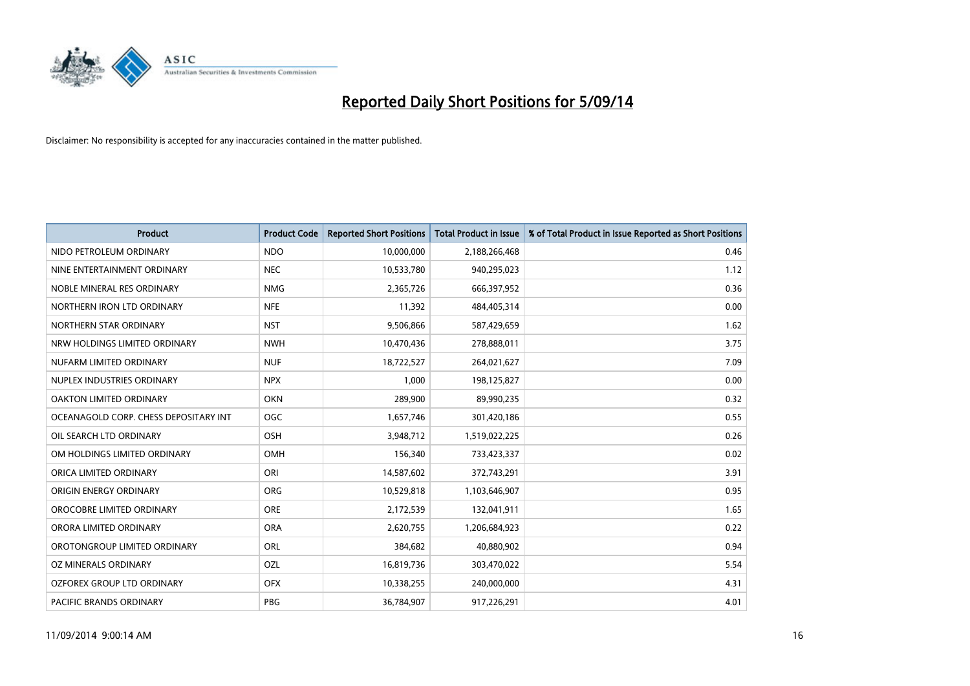

| <b>Product</b>                        | <b>Product Code</b> | <b>Reported Short Positions</b> | <b>Total Product in Issue</b> | % of Total Product in Issue Reported as Short Positions |
|---------------------------------------|---------------------|---------------------------------|-------------------------------|---------------------------------------------------------|
| NIDO PETROLEUM ORDINARY               | <b>NDO</b>          | 10,000,000                      | 2,188,266,468                 | 0.46                                                    |
| NINE ENTERTAINMENT ORDINARY           | <b>NEC</b>          | 10,533,780                      | 940,295,023                   | 1.12                                                    |
| NOBLE MINERAL RES ORDINARY            | <b>NMG</b>          | 2,365,726                       | 666,397,952                   | 0.36                                                    |
| NORTHERN IRON LTD ORDINARY            | <b>NFE</b>          | 11,392                          | 484,405,314                   | 0.00                                                    |
| NORTHERN STAR ORDINARY                | <b>NST</b>          | 9,506,866                       | 587,429,659                   | 1.62                                                    |
| NRW HOLDINGS LIMITED ORDINARY         | <b>NWH</b>          | 10,470,436                      | 278,888,011                   | 3.75                                                    |
| NUFARM LIMITED ORDINARY               | <b>NUF</b>          | 18,722,527                      | 264,021,627                   | 7.09                                                    |
| NUPLEX INDUSTRIES ORDINARY            | <b>NPX</b>          | 1,000                           | 198,125,827                   | 0.00                                                    |
| <b>OAKTON LIMITED ORDINARY</b>        | <b>OKN</b>          | 289,900                         | 89,990,235                    | 0.32                                                    |
| OCEANAGOLD CORP. CHESS DEPOSITARY INT | <b>OGC</b>          | 1,657,746                       | 301,420,186                   | 0.55                                                    |
| OIL SEARCH LTD ORDINARY               | OSH                 | 3,948,712                       | 1,519,022,225                 | 0.26                                                    |
| OM HOLDINGS LIMITED ORDINARY          | OMH                 | 156,340                         | 733,423,337                   | 0.02                                                    |
| ORICA LIMITED ORDINARY                | ORI                 | 14,587,602                      | 372,743,291                   | 3.91                                                    |
| ORIGIN ENERGY ORDINARY                | <b>ORG</b>          | 10,529,818                      | 1,103,646,907                 | 0.95                                                    |
| OROCOBRE LIMITED ORDINARY             | <b>ORE</b>          | 2,172,539                       | 132,041,911                   | 1.65                                                    |
| ORORA LIMITED ORDINARY                | <b>ORA</b>          | 2,620,755                       | 1,206,684,923                 | 0.22                                                    |
| OROTONGROUP LIMITED ORDINARY          | ORL                 | 384,682                         | 40,880,902                    | 0.94                                                    |
| <b>OZ MINERALS ORDINARY</b>           | OZL                 | 16,819,736                      | 303,470,022                   | 5.54                                                    |
| OZFOREX GROUP LTD ORDINARY            | <b>OFX</b>          | 10,338,255                      | 240,000,000                   | 4.31                                                    |
| PACIFIC BRANDS ORDINARY               | <b>PBG</b>          | 36,784,907                      | 917,226,291                   | 4.01                                                    |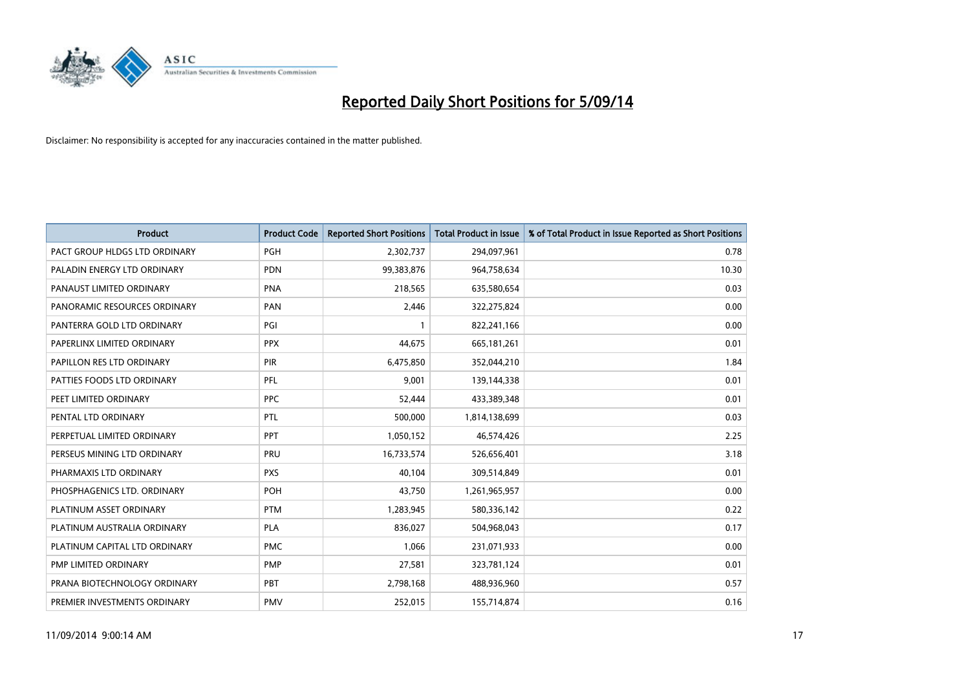

| <b>Product</b>                | <b>Product Code</b> | <b>Reported Short Positions</b> | <b>Total Product in Issue</b> | % of Total Product in Issue Reported as Short Positions |
|-------------------------------|---------------------|---------------------------------|-------------------------------|---------------------------------------------------------|
| PACT GROUP HLDGS LTD ORDINARY | <b>PGH</b>          | 2,302,737                       | 294,097,961                   | 0.78                                                    |
| PALADIN ENERGY LTD ORDINARY   | <b>PDN</b>          | 99,383,876                      | 964,758,634                   | 10.30                                                   |
| PANAUST LIMITED ORDINARY      | <b>PNA</b>          | 218,565                         | 635,580,654                   | 0.03                                                    |
| PANORAMIC RESOURCES ORDINARY  | <b>PAN</b>          | 2,446                           | 322,275,824                   | 0.00                                                    |
| PANTERRA GOLD LTD ORDINARY    | PGI                 | $\mathbf{1}$                    | 822,241,166                   | 0.00                                                    |
| PAPERLINX LIMITED ORDINARY    | <b>PPX</b>          | 44,675                          | 665, 181, 261                 | 0.01                                                    |
| PAPILLON RES LTD ORDINARY     | <b>PIR</b>          | 6,475,850                       | 352,044,210                   | 1.84                                                    |
| PATTIES FOODS LTD ORDINARY    | PFL                 | 9,001                           | 139,144,338                   | 0.01                                                    |
| PEET LIMITED ORDINARY         | <b>PPC</b>          | 52,444                          | 433,389,348                   | 0.01                                                    |
| PENTAL LTD ORDINARY           | <b>PTL</b>          | 500,000                         | 1,814,138,699                 | 0.03                                                    |
| PERPETUAL LIMITED ORDINARY    | PPT                 | 1,050,152                       | 46,574,426                    | 2.25                                                    |
| PERSEUS MINING LTD ORDINARY   | PRU                 | 16,733,574                      | 526,656,401                   | 3.18                                                    |
| PHARMAXIS LTD ORDINARY        | <b>PXS</b>          | 40,104                          | 309,514,849                   | 0.01                                                    |
| PHOSPHAGENICS LTD. ORDINARY   | <b>POH</b>          | 43,750                          | 1,261,965,957                 | 0.00                                                    |
| PLATINUM ASSET ORDINARY       | <b>PTM</b>          | 1,283,945                       | 580,336,142                   | 0.22                                                    |
| PLATINUM AUSTRALIA ORDINARY   | <b>PLA</b>          | 836,027                         | 504,968,043                   | 0.17                                                    |
| PLATINUM CAPITAL LTD ORDINARY | <b>PMC</b>          | 1,066                           | 231,071,933                   | 0.00                                                    |
| PMP LIMITED ORDINARY          | <b>PMP</b>          | 27,581                          | 323,781,124                   | 0.01                                                    |
| PRANA BIOTECHNOLOGY ORDINARY  | <b>PBT</b>          | 2,798,168                       | 488,936,960                   | 0.57                                                    |
| PREMIER INVESTMENTS ORDINARY  | <b>PMV</b>          | 252,015                         | 155,714,874                   | 0.16                                                    |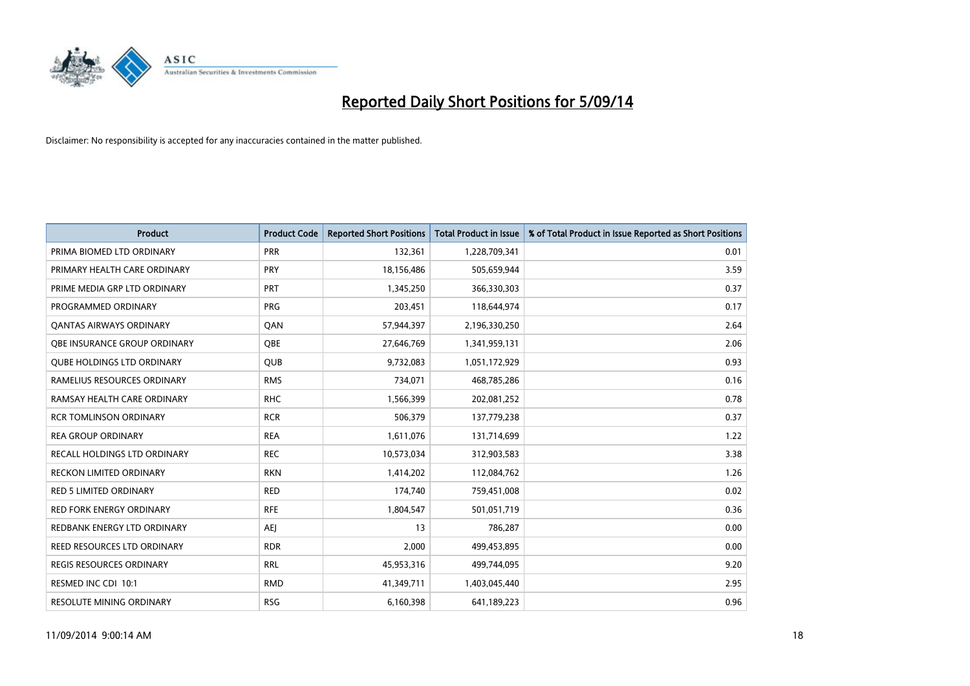

| <b>Product</b>                    | <b>Product Code</b> | <b>Reported Short Positions</b> | <b>Total Product in Issue</b> | % of Total Product in Issue Reported as Short Positions |
|-----------------------------------|---------------------|---------------------------------|-------------------------------|---------------------------------------------------------|
| PRIMA BIOMED LTD ORDINARY         | <b>PRR</b>          | 132,361                         | 1,228,709,341                 | 0.01                                                    |
| PRIMARY HEALTH CARE ORDINARY      | <b>PRY</b>          | 18,156,486                      | 505,659,944                   | 3.59                                                    |
| PRIME MEDIA GRP LTD ORDINARY      | <b>PRT</b>          | 1,345,250                       | 366,330,303                   | 0.37                                                    |
| PROGRAMMED ORDINARY               | <b>PRG</b>          | 203,451                         | 118,644,974                   | 0.17                                                    |
| <b>QANTAS AIRWAYS ORDINARY</b>    | QAN                 | 57,944,397                      | 2,196,330,250                 | 2.64                                                    |
| OBE INSURANCE GROUP ORDINARY      | <b>OBE</b>          | 27,646,769                      | 1,341,959,131                 | 2.06                                                    |
| <b>QUBE HOLDINGS LTD ORDINARY</b> | <b>QUB</b>          | 9,732,083                       | 1,051,172,929                 | 0.93                                                    |
| RAMELIUS RESOURCES ORDINARY       | <b>RMS</b>          | 734,071                         | 468,785,286                   | 0.16                                                    |
| RAMSAY HEALTH CARE ORDINARY       | <b>RHC</b>          | 1,566,399                       | 202,081,252                   | 0.78                                                    |
| <b>RCR TOMLINSON ORDINARY</b>     | <b>RCR</b>          | 506,379                         | 137,779,238                   | 0.37                                                    |
| <b>REA GROUP ORDINARY</b>         | <b>REA</b>          | 1,611,076                       | 131,714,699                   | 1.22                                                    |
| RECALL HOLDINGS LTD ORDINARY      | <b>REC</b>          | 10,573,034                      | 312,903,583                   | 3.38                                                    |
| RECKON LIMITED ORDINARY           | <b>RKN</b>          | 1,414,202                       | 112,084,762                   | 1.26                                                    |
| <b>RED 5 LIMITED ORDINARY</b>     | <b>RED</b>          | 174,740                         | 759,451,008                   | 0.02                                                    |
| <b>RED FORK ENERGY ORDINARY</b>   | <b>RFE</b>          | 1,804,547                       | 501,051,719                   | 0.36                                                    |
| REDBANK ENERGY LTD ORDINARY       | <b>AEI</b>          | 13                              | 786,287                       | 0.00                                                    |
| REED RESOURCES LTD ORDINARY       | <b>RDR</b>          | 2,000                           | 499,453,895                   | 0.00                                                    |
| <b>REGIS RESOURCES ORDINARY</b>   | <b>RRL</b>          | 45,953,316                      | 499,744,095                   | 9.20                                                    |
| RESMED INC CDI 10:1               | <b>RMD</b>          | 41,349,711                      | 1,403,045,440                 | 2.95                                                    |
| <b>RESOLUTE MINING ORDINARY</b>   | <b>RSG</b>          | 6,160,398                       | 641,189,223                   | 0.96                                                    |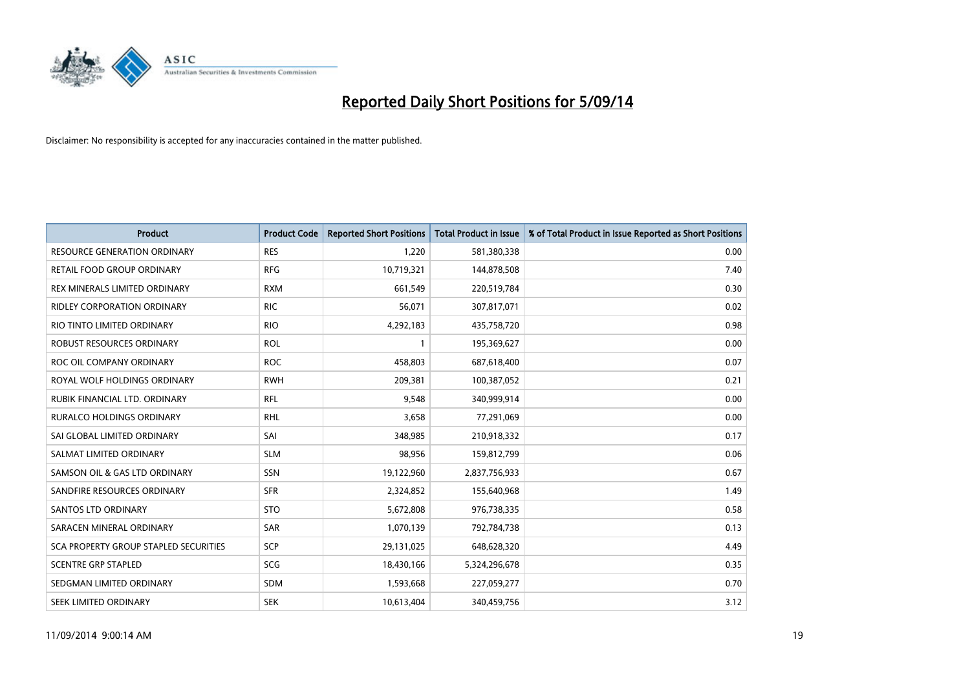

| <b>Product</b>                        | <b>Product Code</b> | <b>Reported Short Positions</b> | <b>Total Product in Issue</b> | % of Total Product in Issue Reported as Short Positions |
|---------------------------------------|---------------------|---------------------------------|-------------------------------|---------------------------------------------------------|
| <b>RESOURCE GENERATION ORDINARY</b>   | <b>RES</b>          | 1,220                           | 581,380,338                   | 0.00                                                    |
| RETAIL FOOD GROUP ORDINARY            | <b>RFG</b>          | 10,719,321                      | 144,878,508                   | 7.40                                                    |
| REX MINERALS LIMITED ORDINARY         | <b>RXM</b>          | 661,549                         | 220,519,784                   | 0.30                                                    |
| <b>RIDLEY CORPORATION ORDINARY</b>    | <b>RIC</b>          | 56,071                          | 307,817,071                   | 0.02                                                    |
| RIO TINTO LIMITED ORDINARY            | <b>RIO</b>          | 4,292,183                       | 435,758,720                   | 0.98                                                    |
| ROBUST RESOURCES ORDINARY             | <b>ROL</b>          | $\mathbf{1}$                    | 195,369,627                   | 0.00                                                    |
| ROC OIL COMPANY ORDINARY              | <b>ROC</b>          | 458,803                         | 687,618,400                   | 0.07                                                    |
| ROYAL WOLF HOLDINGS ORDINARY          | <b>RWH</b>          | 209,381                         | 100,387,052                   | 0.21                                                    |
| RUBIK FINANCIAL LTD. ORDINARY         | <b>RFL</b>          | 9,548                           | 340,999,914                   | 0.00                                                    |
| <b>RURALCO HOLDINGS ORDINARY</b>      | <b>RHL</b>          | 3,658                           | 77,291,069                    | 0.00                                                    |
| SAI GLOBAL LIMITED ORDINARY           | SAI                 | 348,985                         | 210,918,332                   | 0.17                                                    |
| SALMAT LIMITED ORDINARY               | <b>SLM</b>          | 98,956                          | 159,812,799                   | 0.06                                                    |
| SAMSON OIL & GAS LTD ORDINARY         | SSN                 | 19,122,960                      | 2,837,756,933                 | 0.67                                                    |
| SANDFIRE RESOURCES ORDINARY           | <b>SFR</b>          | 2,324,852                       | 155,640,968                   | 1.49                                                    |
| SANTOS LTD ORDINARY                   | <b>STO</b>          | 5,672,808                       | 976,738,335                   | 0.58                                                    |
| SARACEN MINERAL ORDINARY              | SAR                 | 1,070,139                       | 792,784,738                   | 0.13                                                    |
| SCA PROPERTY GROUP STAPLED SECURITIES | SCP                 | 29,131,025                      | 648,628,320                   | 4.49                                                    |
| <b>SCENTRE GRP STAPLED</b>            | <b>SCG</b>          | 18,430,166                      | 5,324,296,678                 | 0.35                                                    |
| SEDGMAN LIMITED ORDINARY              | <b>SDM</b>          | 1,593,668                       | 227,059,277                   | 0.70                                                    |
| SEEK LIMITED ORDINARY                 | <b>SEK</b>          | 10,613,404                      | 340,459,756                   | 3.12                                                    |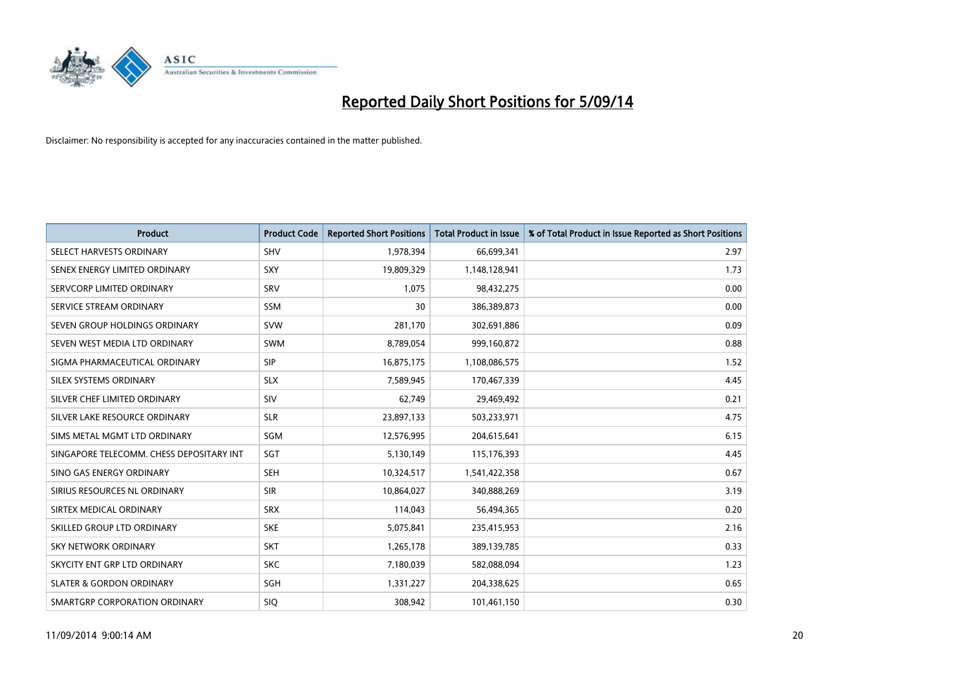

| <b>Product</b>                           | <b>Product Code</b> | <b>Reported Short Positions</b> | <b>Total Product in Issue</b> | % of Total Product in Issue Reported as Short Positions |
|------------------------------------------|---------------------|---------------------------------|-------------------------------|---------------------------------------------------------|
| SELECT HARVESTS ORDINARY                 | <b>SHV</b>          | 1,978,394                       | 66,699,341                    | 2.97                                                    |
| SENEX ENERGY LIMITED ORDINARY            | <b>SXY</b>          | 19,809,329                      | 1,148,128,941                 | 1.73                                                    |
| SERVCORP LIMITED ORDINARY                | SRV                 | 1,075                           | 98,432,275                    | 0.00                                                    |
| SERVICE STREAM ORDINARY                  | <b>SSM</b>          | 30                              | 386,389,873                   | 0.00                                                    |
| SEVEN GROUP HOLDINGS ORDINARY            | <b>SVW</b>          | 281,170                         | 302,691,886                   | 0.09                                                    |
| SEVEN WEST MEDIA LTD ORDINARY            | <b>SWM</b>          | 8,789,054                       | 999,160,872                   | 0.88                                                    |
| SIGMA PHARMACEUTICAL ORDINARY            | <b>SIP</b>          | 16,875,175                      | 1,108,086,575                 | 1.52                                                    |
| SILEX SYSTEMS ORDINARY                   | <b>SLX</b>          | 7,589,945                       | 170,467,339                   | 4.45                                                    |
| SILVER CHEF LIMITED ORDINARY             | SIV                 | 62,749                          | 29,469,492                    | 0.21                                                    |
| SILVER LAKE RESOURCE ORDINARY            | <b>SLR</b>          | 23,897,133                      | 503,233,971                   | 4.75                                                    |
| SIMS METAL MGMT LTD ORDINARY             | SGM                 | 12,576,995                      | 204,615,641                   | 6.15                                                    |
| SINGAPORE TELECOMM. CHESS DEPOSITARY INT | SGT                 | 5,130,149                       | 115,176,393                   | 4.45                                                    |
| SINO GAS ENERGY ORDINARY                 | <b>SEH</b>          | 10,324,517                      | 1,541,422,358                 | 0.67                                                    |
| SIRIUS RESOURCES NL ORDINARY             | <b>SIR</b>          | 10,864,027                      | 340,888,269                   | 3.19                                                    |
| SIRTEX MEDICAL ORDINARY                  | <b>SRX</b>          | 114,043                         | 56,494,365                    | 0.20                                                    |
| SKILLED GROUP LTD ORDINARY               | <b>SKE</b>          | 5,075,841                       | 235,415,953                   | 2.16                                                    |
| SKY NETWORK ORDINARY                     | <b>SKT</b>          | 1,265,178                       | 389,139,785                   | 0.33                                                    |
| SKYCITY ENT GRP LTD ORDINARY             | <b>SKC</b>          | 7,180,039                       | 582,088,094                   | 1.23                                                    |
| <b>SLATER &amp; GORDON ORDINARY</b>      | SGH                 | 1,331,227                       | 204,338,625                   | 0.65                                                    |
| SMARTGRP CORPORATION ORDINARY            | <b>SIQ</b>          | 308,942                         | 101,461,150                   | 0.30                                                    |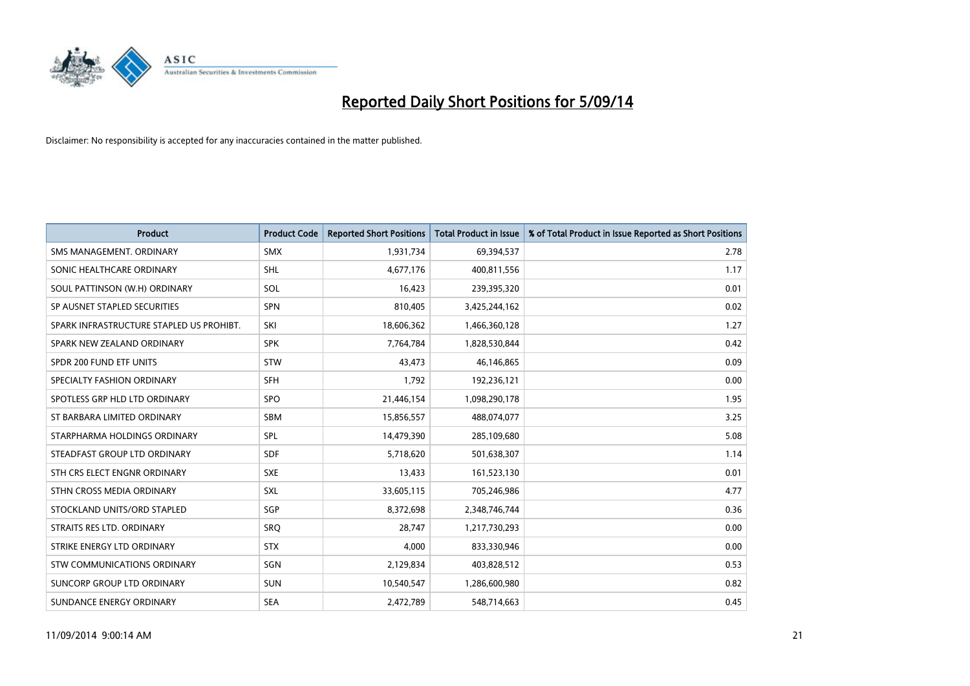

| <b>Product</b>                           | <b>Product Code</b> | <b>Reported Short Positions</b> | <b>Total Product in Issue</b> | % of Total Product in Issue Reported as Short Positions |
|------------------------------------------|---------------------|---------------------------------|-------------------------------|---------------------------------------------------------|
| SMS MANAGEMENT, ORDINARY                 | <b>SMX</b>          | 1,931,734                       | 69,394,537                    | 2.78                                                    |
| SONIC HEALTHCARE ORDINARY                | <b>SHL</b>          | 4,677,176                       | 400,811,556                   | 1.17                                                    |
| SOUL PATTINSON (W.H) ORDINARY            | <b>SOL</b>          | 16,423                          | 239,395,320                   | 0.01                                                    |
| SP AUSNET STAPLED SECURITIES             | <b>SPN</b>          | 810,405                         | 3,425,244,162                 | 0.02                                                    |
| SPARK INFRASTRUCTURE STAPLED US PROHIBT. | SKI                 | 18,606,362                      | 1,466,360,128                 | 1.27                                                    |
| SPARK NEW ZEALAND ORDINARY               | <b>SPK</b>          | 7,764,784                       | 1,828,530,844                 | 0.42                                                    |
| SPDR 200 FUND ETF UNITS                  | <b>STW</b>          | 43,473                          | 46,146,865                    | 0.09                                                    |
| SPECIALTY FASHION ORDINARY               | <b>SFH</b>          | 1,792                           | 192,236,121                   | 0.00                                                    |
| SPOTLESS GRP HLD LTD ORDINARY            | SPO                 | 21,446,154                      | 1,098,290,178                 | 1.95                                                    |
| ST BARBARA LIMITED ORDINARY              | <b>SBM</b>          | 15,856,557                      | 488,074,077                   | 3.25                                                    |
| STARPHARMA HOLDINGS ORDINARY             | SPL                 | 14,479,390                      | 285,109,680                   | 5.08                                                    |
| STEADFAST GROUP LTD ORDINARY             | <b>SDF</b>          | 5,718,620                       | 501,638,307                   | 1.14                                                    |
| STH CRS ELECT ENGNR ORDINARY             | <b>SXE</b>          | 13,433                          | 161,523,130                   | 0.01                                                    |
| STHN CROSS MEDIA ORDINARY                | <b>SXL</b>          | 33,605,115                      | 705,246,986                   | 4.77                                                    |
| STOCKLAND UNITS/ORD STAPLED              | SGP                 | 8,372,698                       | 2,348,746,744                 | 0.36                                                    |
| STRAITS RES LTD. ORDINARY                | SRO                 | 28,747                          | 1,217,730,293                 | 0.00                                                    |
| STRIKE ENERGY LTD ORDINARY               | <b>STX</b>          | 4,000                           | 833,330,946                   | 0.00                                                    |
| STW COMMUNICATIONS ORDINARY              | <b>SGN</b>          | 2,129,834                       | 403,828,512                   | 0.53                                                    |
| SUNCORP GROUP LTD ORDINARY               | <b>SUN</b>          | 10,540,547                      | 1,286,600,980                 | 0.82                                                    |
| SUNDANCE ENERGY ORDINARY                 | <b>SEA</b>          | 2,472,789                       | 548,714,663                   | 0.45                                                    |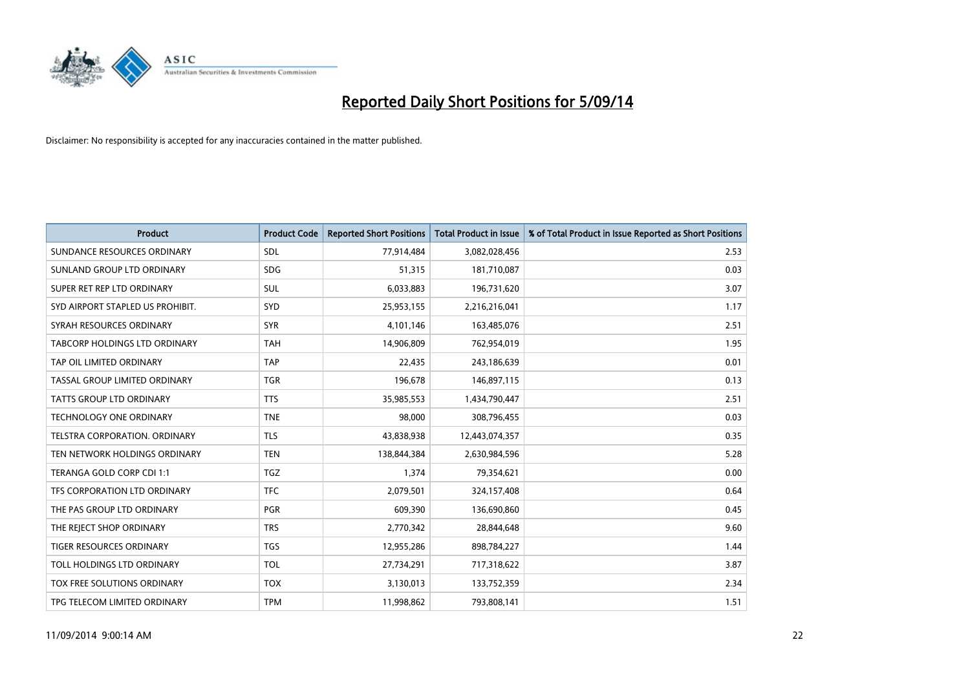

| <b>Product</b>                   | <b>Product Code</b> | <b>Reported Short Positions</b> | <b>Total Product in Issue</b> | % of Total Product in Issue Reported as Short Positions |
|----------------------------------|---------------------|---------------------------------|-------------------------------|---------------------------------------------------------|
| SUNDANCE RESOURCES ORDINARY      | <b>SDL</b>          | 77,914,484                      | 3,082,028,456                 | 2.53                                                    |
| SUNLAND GROUP LTD ORDINARY       | <b>SDG</b>          | 51,315                          | 181,710,087                   | 0.03                                                    |
| SUPER RET REP LTD ORDINARY       | <b>SUL</b>          | 6,033,883                       | 196,731,620                   | 3.07                                                    |
| SYD AIRPORT STAPLED US PROHIBIT. | <b>SYD</b>          | 25,953,155                      | 2,216,216,041                 | 1.17                                                    |
| SYRAH RESOURCES ORDINARY         | <b>SYR</b>          | 4,101,146                       | 163,485,076                   | 2.51                                                    |
| TABCORP HOLDINGS LTD ORDINARY    | <b>TAH</b>          | 14,906,809                      | 762,954,019                   | 1.95                                                    |
| TAP OIL LIMITED ORDINARY         | <b>TAP</b>          | 22,435                          | 243,186,639                   | 0.01                                                    |
| TASSAL GROUP LIMITED ORDINARY    | <b>TGR</b>          | 196,678                         | 146,897,115                   | 0.13                                                    |
| <b>TATTS GROUP LTD ORDINARY</b>  | <b>TTS</b>          | 35,985,553                      | 1,434,790,447                 | 2.51                                                    |
| <b>TECHNOLOGY ONE ORDINARY</b>   | <b>TNE</b>          | 98,000                          | 308,796,455                   | 0.03                                                    |
| TELSTRA CORPORATION. ORDINARY    | <b>TLS</b>          | 43,838,938                      | 12,443,074,357                | 0.35                                                    |
| TEN NETWORK HOLDINGS ORDINARY    | <b>TEN</b>          | 138,844,384                     | 2,630,984,596                 | 5.28                                                    |
| TERANGA GOLD CORP CDI 1:1        | TGZ                 | 1,374                           | 79,354,621                    | 0.00                                                    |
| TFS CORPORATION LTD ORDINARY     | <b>TFC</b>          | 2,079,501                       | 324,157,408                   | 0.64                                                    |
| THE PAS GROUP LTD ORDINARY       | <b>PGR</b>          | 609,390                         | 136,690,860                   | 0.45                                                    |
| THE REJECT SHOP ORDINARY         | <b>TRS</b>          | 2,770,342                       | 28,844,648                    | 9.60                                                    |
| TIGER RESOURCES ORDINARY         | TGS                 | 12,955,286                      | 898,784,227                   | 1.44                                                    |
| TOLL HOLDINGS LTD ORDINARY       | <b>TOL</b>          | 27,734,291                      | 717,318,622                   | 3.87                                                    |
| TOX FREE SOLUTIONS ORDINARY      | <b>TOX</b>          | 3,130,013                       | 133,752,359                   | 2.34                                                    |
| TPG TELECOM LIMITED ORDINARY     | <b>TPM</b>          | 11,998,862                      | 793,808,141                   | 1.51                                                    |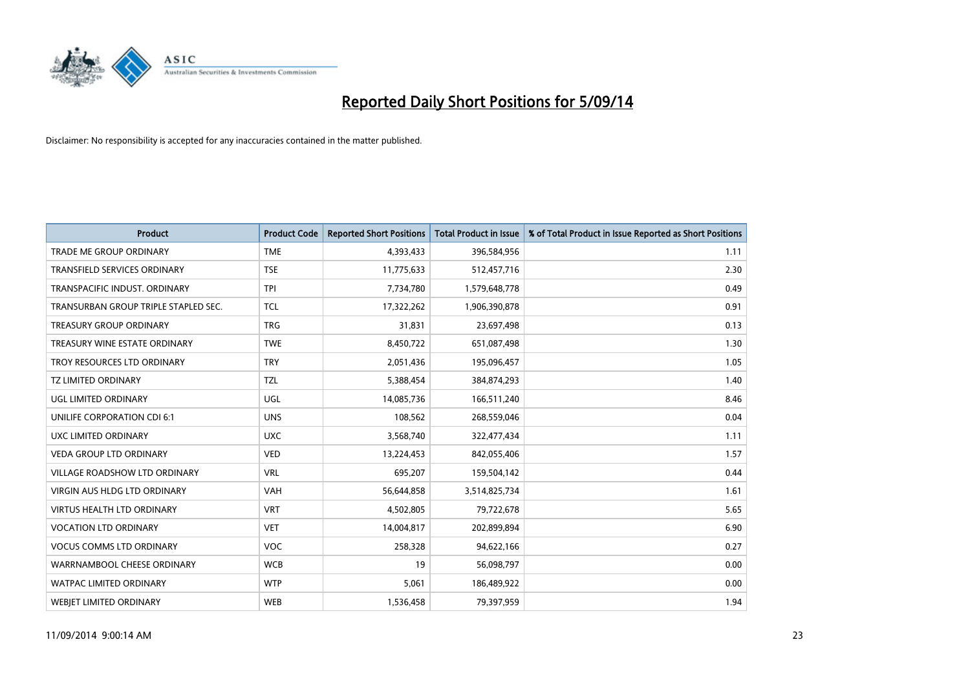

| <b>Product</b>                       | <b>Product Code</b> | <b>Reported Short Positions</b> | <b>Total Product in Issue</b> | % of Total Product in Issue Reported as Short Positions |
|--------------------------------------|---------------------|---------------------------------|-------------------------------|---------------------------------------------------------|
| <b>TRADE ME GROUP ORDINARY</b>       | <b>TME</b>          | 4,393,433                       | 396,584,956                   | 1.11                                                    |
| TRANSFIELD SERVICES ORDINARY         | <b>TSE</b>          | 11,775,633                      | 512,457,716                   | 2.30                                                    |
| TRANSPACIFIC INDUST. ORDINARY        | <b>TPI</b>          | 7,734,780                       | 1,579,648,778                 | 0.49                                                    |
| TRANSURBAN GROUP TRIPLE STAPLED SEC. | <b>TCL</b>          | 17,322,262                      | 1,906,390,878                 | 0.91                                                    |
| <b>TREASURY GROUP ORDINARY</b>       | <b>TRG</b>          | 31,831                          | 23,697,498                    | 0.13                                                    |
| TREASURY WINE ESTATE ORDINARY        | <b>TWE</b>          | 8,450,722                       | 651,087,498                   | 1.30                                                    |
| TROY RESOURCES LTD ORDINARY          | <b>TRY</b>          | 2,051,436                       | 195,096,457                   | 1.05                                                    |
| <b>TZ LIMITED ORDINARY</b>           | <b>TZL</b>          | 5,388,454                       | 384,874,293                   | 1.40                                                    |
| UGL LIMITED ORDINARY                 | UGL                 | 14,085,736                      | 166,511,240                   | 8.46                                                    |
| UNILIFE CORPORATION CDI 6:1          | <b>UNS</b>          | 108,562                         | 268,559,046                   | 0.04                                                    |
| UXC LIMITED ORDINARY                 | <b>UXC</b>          | 3,568,740                       | 322,477,434                   | 1.11                                                    |
| <b>VEDA GROUP LTD ORDINARY</b>       | <b>VED</b>          | 13,224,453                      | 842,055,406                   | 1.57                                                    |
| <b>VILLAGE ROADSHOW LTD ORDINARY</b> | <b>VRL</b>          | 695,207                         | 159,504,142                   | 0.44                                                    |
| <b>VIRGIN AUS HLDG LTD ORDINARY</b>  | <b>VAH</b>          | 56,644,858                      | 3,514,825,734                 | 1.61                                                    |
| <b>VIRTUS HEALTH LTD ORDINARY</b>    | <b>VRT</b>          | 4,502,805                       | 79,722,678                    | 5.65                                                    |
| <b>VOCATION LTD ORDINARY</b>         | <b>VET</b>          | 14,004,817                      | 202,899,894                   | 6.90                                                    |
| <b>VOCUS COMMS LTD ORDINARY</b>      | VOC                 | 258,328                         | 94,622,166                    | 0.27                                                    |
| WARRNAMBOOL CHEESE ORDINARY          | <b>WCB</b>          | 19                              | 56,098,797                    | 0.00                                                    |
| <b>WATPAC LIMITED ORDINARY</b>       | <b>WTP</b>          | 5,061                           | 186,489,922                   | 0.00                                                    |
| <b>WEBJET LIMITED ORDINARY</b>       | <b>WEB</b>          | 1,536,458                       | 79,397,959                    | 1.94                                                    |